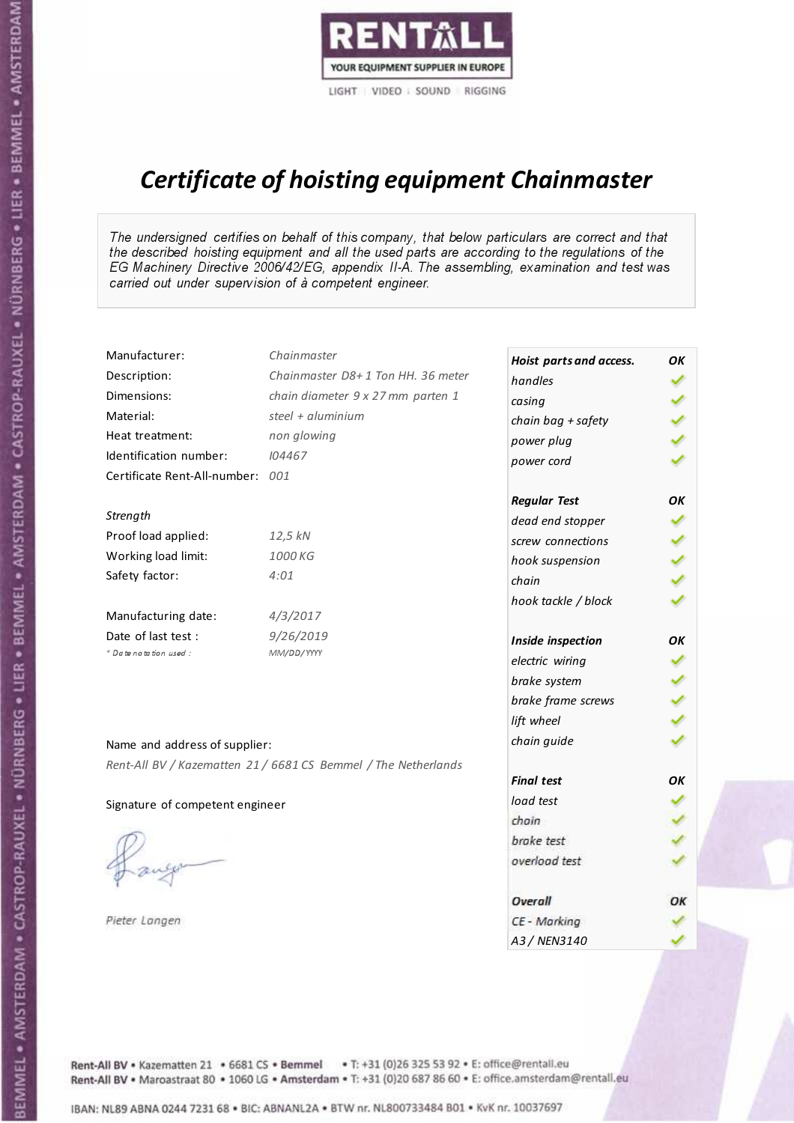

# Certificate of hoisting equipment Chainmaster

The undersigned certifies on behalf of this company, that below particulars are correct and that the described hoisting equipment and all the used parts are according to the regulations of the EG Machinery Directive 2006/42/EG, appendix II-A. The assembling, examination and test was carried out under supervision of à competent engineer.

| Manufacturer:                    | Chainmaster                                                    | Hoist parts and access. | OK  |
|----------------------------------|----------------------------------------------------------------|-------------------------|-----|
| Description:                     | Chainmaster D8+1 Ton HH. 36 meter                              | handles                 |     |
| Dimensions:                      | chain diameter 9 x 27 mm parten 1                              | casing                  |     |
| Material:                        | steel $+$ aluminium                                            | chain bag + safety      |     |
| Heat treatment:                  | non glowing                                                    | power plug              |     |
| Identification number:           | 104467                                                         | power cord              |     |
| Certificate Rent-All-number: 001 |                                                                |                         |     |
|                                  |                                                                | <b>Regular Test</b>     | OK  |
| Strength                         |                                                                | dead end stopper        | ✔   |
| Proof load applied:              | 12,5 kN                                                        | screw connections       |     |
| Working load limit:              | 1000 KG                                                        | hook suspension         |     |
| Safety factor:                   | 4:01                                                           | chain                   | くくく |
|                                  |                                                                | hook tackle / block     |     |
| Manufacturing date:              | 4/3/2017                                                       |                         |     |
| Date of last test :              | 9/26/2019                                                      | Inside inspection       | OK  |
| * Date notation used :           | MM/DD/YYYY                                                     | electric wiring         |     |
|                                  |                                                                | brake system            | ✔   |
|                                  |                                                                | brake frame screws      |     |
|                                  |                                                                | lift wheel              |     |
| Name and address of supplier:    |                                                                | chain guide             |     |
|                                  | Rent-All BV / Kazematten 21 / 6681 CS Bemmel / The Netherlands |                         |     |
|                                  |                                                                | <b>Final test</b>       | OK  |
| Signature of competent engineer  |                                                                | load test               |     |
|                                  |                                                                | chain                   |     |
|                                  |                                                                | brake test              |     |
|                                  |                                                                | overload test           |     |
|                                  |                                                                | Overall                 | OK  |
| Pieter Langen                    |                                                                | CE - Marking            |     |
|                                  |                                                                | A3 / NEN3140            |     |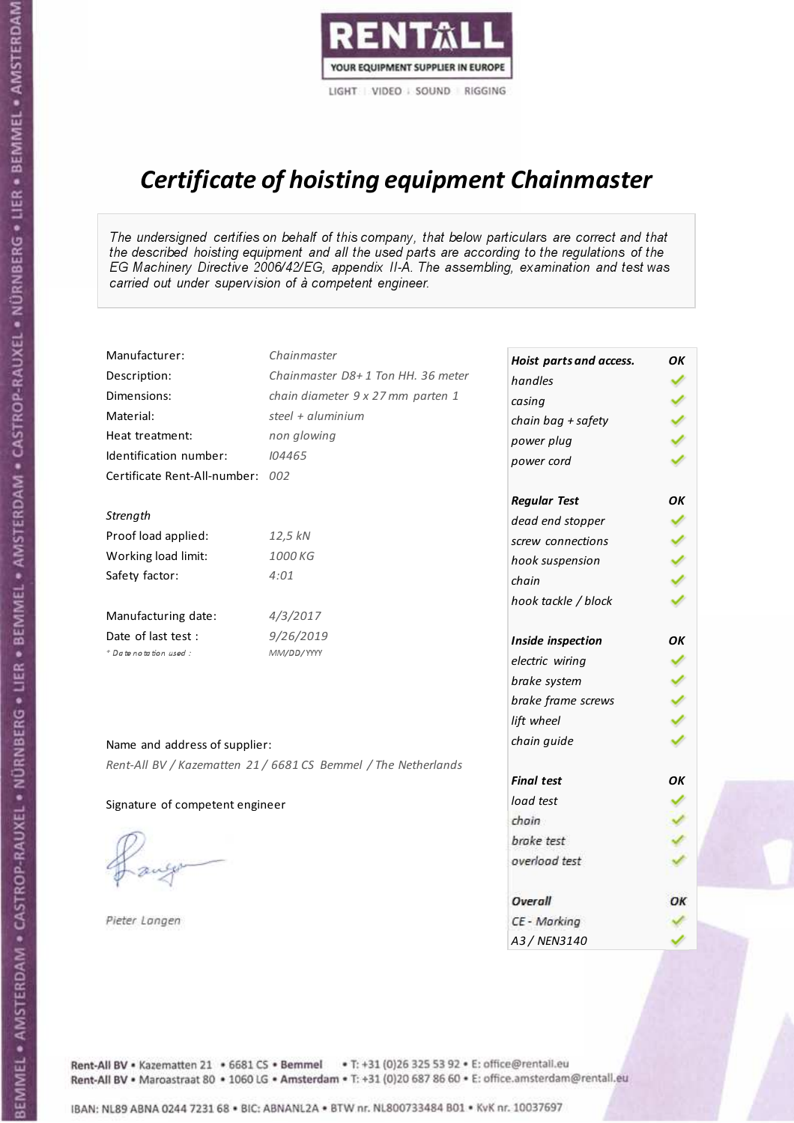

# Certificate of hoisting equipment Chainmaster

The undersigned certifies on behalf of this company, that below particulars are correct and that the described hoisting equipment and all the used parts are according to the regulations of the EG Machinery Directive 2006/42/EG, appendix II-A. The assembling, examination and test was carried out under supervision of à competent engineer.

| Manufacturer:                    | Chainmaster                                                    | Hoist parts and access. | OK  |
|----------------------------------|----------------------------------------------------------------|-------------------------|-----|
| Description:                     | Chainmaster D8+1 Ton HH, 36 meter                              | handles                 |     |
| Dimensions:                      | chain diameter 9 x 27 mm parten 1                              | casing                  |     |
| Material:                        | steel + $aluminim$                                             | chain bag + safety      |     |
| Heat treatment:                  | non glowing                                                    | power plug              |     |
| Identification number:           | 104465                                                         | power cord              |     |
| Certificate Rent-All-number: 002 |                                                                |                         |     |
|                                  |                                                                | <b>Regular Test</b>     | OK  |
| Strength                         |                                                                | dead end stopper        | ✔   |
| Proof load applied:              | 12,5 kN                                                        | screw connections       |     |
| Working load limit:              | 1000 KG                                                        | hook suspension         |     |
| Safety factor:                   | 4:01                                                           | chain                   | くくく |
|                                  |                                                                | hook tackle / block     |     |
| Manufacturing date:              | 4/3/2017                                                       |                         |     |
| Date of last test :              | 9/26/2019                                                      | Inside inspection       | ОΚ  |
| + Date notation used:            | MM/DD/YYYY                                                     | electric wiring         | ✓   |
|                                  |                                                                | brake system            | ✔   |
|                                  |                                                                | brake frame screws      |     |
|                                  |                                                                | lift wheel              |     |
| Name and address of supplier:    |                                                                | chain guide             |     |
|                                  | Rent-All BV / Kazematten 21 / 6681 CS Bemmel / The Netherlands |                         |     |
|                                  |                                                                | <b>Final test</b>       | OK  |
| Signature of competent engineer  |                                                                | load test               |     |
|                                  |                                                                | chain                   |     |
|                                  |                                                                | brake test              |     |
|                                  |                                                                | overload test           |     |
|                                  |                                                                | Overall                 | ОК  |
| Pieter Langen                    |                                                                | CE - Marking            |     |
|                                  |                                                                | A3 / NEN3140            |     |

Rent-All BV . Kazematten 21 . 6681 CS . Bemmel . T: +31 (0)26 325 53 92 . E: office@rentall.eu Rent-All BV · Maroastraat 80 · 1060 LG · Amsterdam · T: +31 (0)20 687 86 60 · E: office.amsterdam@rentall.eu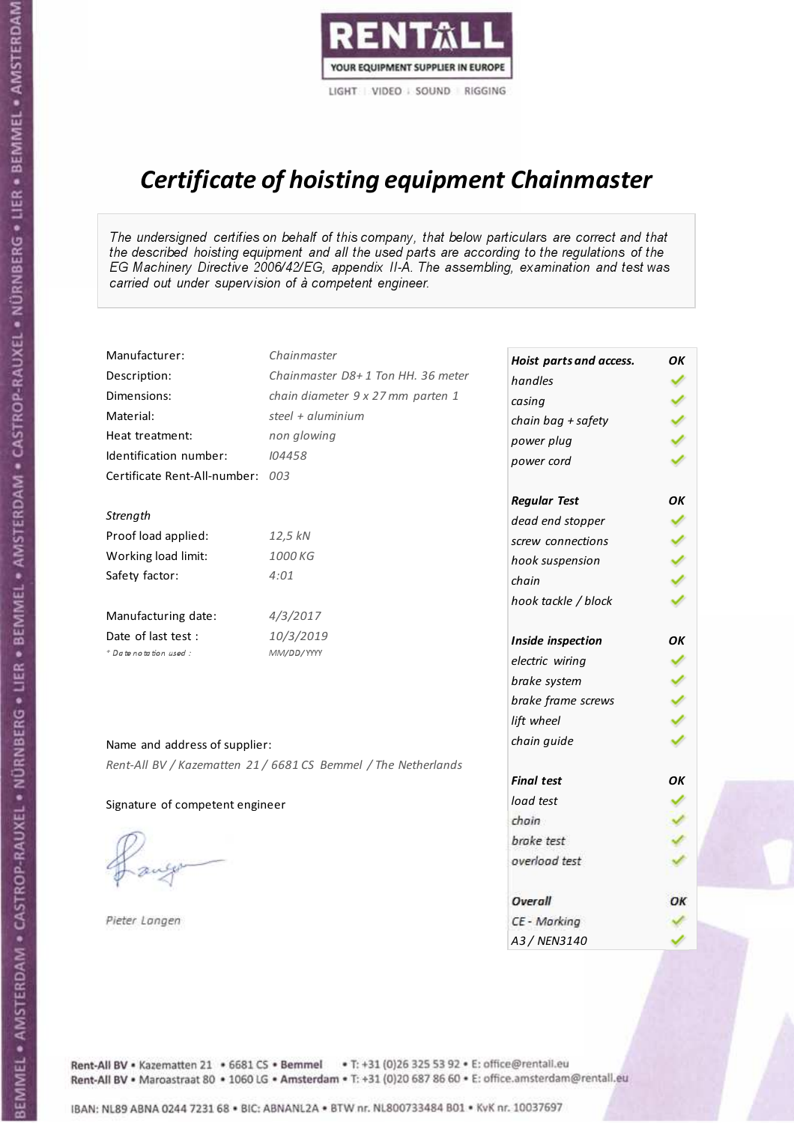

# Certificate of hoisting equipment Chainmaster

The undersigned certifies on behalf of this company, that below particulars are correct and that the described hoisting equipment and all the used parts are according to the regulations of the EG Machinery Directive 2006/42/EG, appendix II-A. The assembling, examination and test was carried out under supervision of à competent engineer.

| Manufacturer:                    | Chainmaster                                                    | Hoist parts and access. | OK  |
|----------------------------------|----------------------------------------------------------------|-------------------------|-----|
| Description:                     | Chainmaster D8+1 Ton HH. 36 meter                              | handles                 |     |
| Dimensions:                      | chain diameter 9 x 27 mm parten 1                              | casing                  |     |
| Material:                        | steel + aluminium                                              | chain bag + safety      |     |
| Heat treatment:                  | non glowing                                                    | power plug              |     |
| Identification number:           | 104458                                                         | power cord              |     |
| Certificate Rent-All-number: 003 |                                                                |                         |     |
|                                  |                                                                | <b>Regular Test</b>     | OK  |
| Strength                         |                                                                | dead end stopper        | ✔   |
| Proof load applied:              | 12,5 kN                                                        | screw connections       |     |
| Working load limit:              | 1000 KG                                                        | hook suspension         |     |
| Safety factor:                   | 4:01                                                           | chain                   | くくく |
|                                  |                                                                | hook tackle / block     |     |
| Manufacturing date:              | 4/3/2017                                                       |                         |     |
| Date of last test :              | 10/3/2019                                                      | Inside inspection       | ОΚ  |
| * Date notation used :           | MM/DD/YYYY                                                     | electric wiring         | ✓   |
|                                  |                                                                | brake system            | ✔   |
|                                  |                                                                | brake frame screws      |     |
|                                  |                                                                | lift wheel              |     |
| Name and address of supplier:    |                                                                | chain guide             |     |
|                                  | Rent-All BV / Kazematten 21 / 6681 CS Bemmel / The Netherlands |                         |     |
|                                  |                                                                | <b>Final test</b>       | OK  |
| Signature of competent engineer  |                                                                | load test               |     |
|                                  |                                                                | chain                   |     |
|                                  |                                                                | brake test              |     |
|                                  |                                                                | overload test           |     |
|                                  |                                                                | Overall                 | ОК  |
| Pieter Langen                    |                                                                | CE - Marking            |     |
|                                  |                                                                | A3 / NEN3140            |     |

Rent-All BV . Kazematten 21 . 6681 CS . Bemmel . T: +31 (0)26 325 53 92 . E: office@rentall.eu Rent-All BV · Maroastraat 80 · 1060 LG · Amsterdam · T: +31 (0)20 687 86 60 · E: office.amsterdam@rentall.eu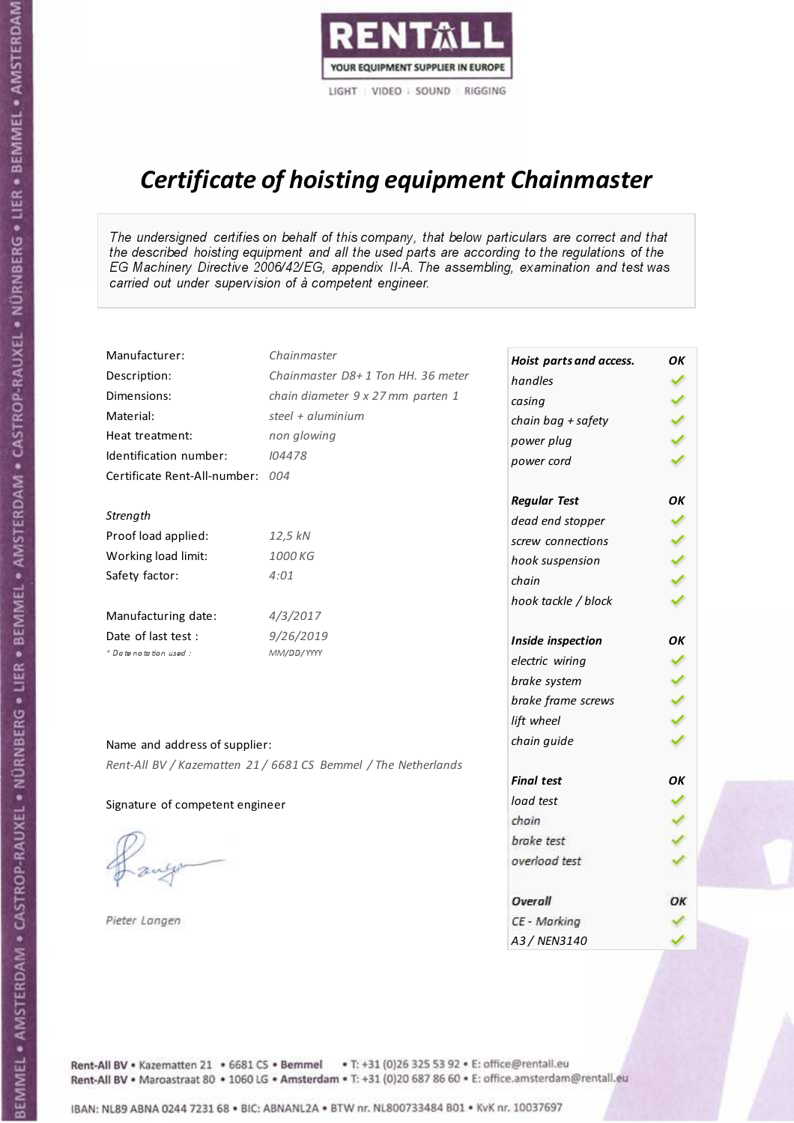

# Certificate of hoisting equipment Chainmaster

The undersigned certifies on behalf of this company, that below particulars are correct and that the described hoisting equipment and all the used parts are according to the regulations of the EG Machinery Directive 2006/42/EG, appendix II-A. The assembling, examination and test was carried out under supervision of à competent engineer.

| Manufacturer:                    | Chainmaster                                                    | Hoist parts and access. | OK  |
|----------------------------------|----------------------------------------------------------------|-------------------------|-----|
| Description:                     | Chainmaster D8+1 Ton HH, 36 meter                              | handles                 |     |
| Dimensions:                      | chain diameter 9 x 27 mm parten 1                              | casing                  |     |
| Material:                        | steel + $aluminim$                                             | chain bag + safety      |     |
| Heat treatment:                  | non glowing                                                    | power plug              |     |
| Identification number:           | 104478                                                         | power cord              |     |
| Certificate Rent-All-number: 004 |                                                                |                         |     |
|                                  |                                                                | <b>Regular Test</b>     | OK  |
| Strength                         |                                                                | dead end stopper        | ✔   |
| Proof load applied:              | 12,5 kN                                                        | screw connections       |     |
| Working load limit:              | 1000 KG                                                        | hook suspension         |     |
| Safety factor:                   | 4:01                                                           | chain                   | くくく |
|                                  |                                                                | hook tackle / block     |     |
| Manufacturing date:              | 4/3/2017                                                       |                         |     |
| Date of last test :              | 9/26/2019                                                      | Inside inspection       | ОΚ  |
| + Date notation used:            | MM/DD/YYYY                                                     | electric wiring         | ✓   |
|                                  |                                                                | brake system            | ✔   |
|                                  |                                                                | brake frame screws      |     |
|                                  |                                                                | lift wheel              |     |
| Name and address of supplier:    |                                                                | chain guide             |     |
|                                  | Rent-All BV / Kazematten 21 / 6681 CS Bemmel / The Netherlands |                         |     |
|                                  |                                                                | <b>Final test</b>       | OK  |
| Signature of competent engineer  |                                                                | load test               |     |
|                                  |                                                                | chain                   |     |
|                                  |                                                                | brake test              |     |
|                                  |                                                                | overload test           |     |
|                                  |                                                                | Overall                 | ОК  |
| Pieter Langen                    |                                                                | CE - Marking            |     |
|                                  |                                                                | A3 / NEN3140            |     |

Rent-All BV . Kazematten 21 . 6681 CS . Bemmel . T: +31 (0)26 325 53 92 . E: office@rentall.eu Rent-All BV · Maroastraat 80 · 1060 LG · Amsterdam · T: +31 (0)20 687 86 60 · E: office.amsterdam@rentall.eu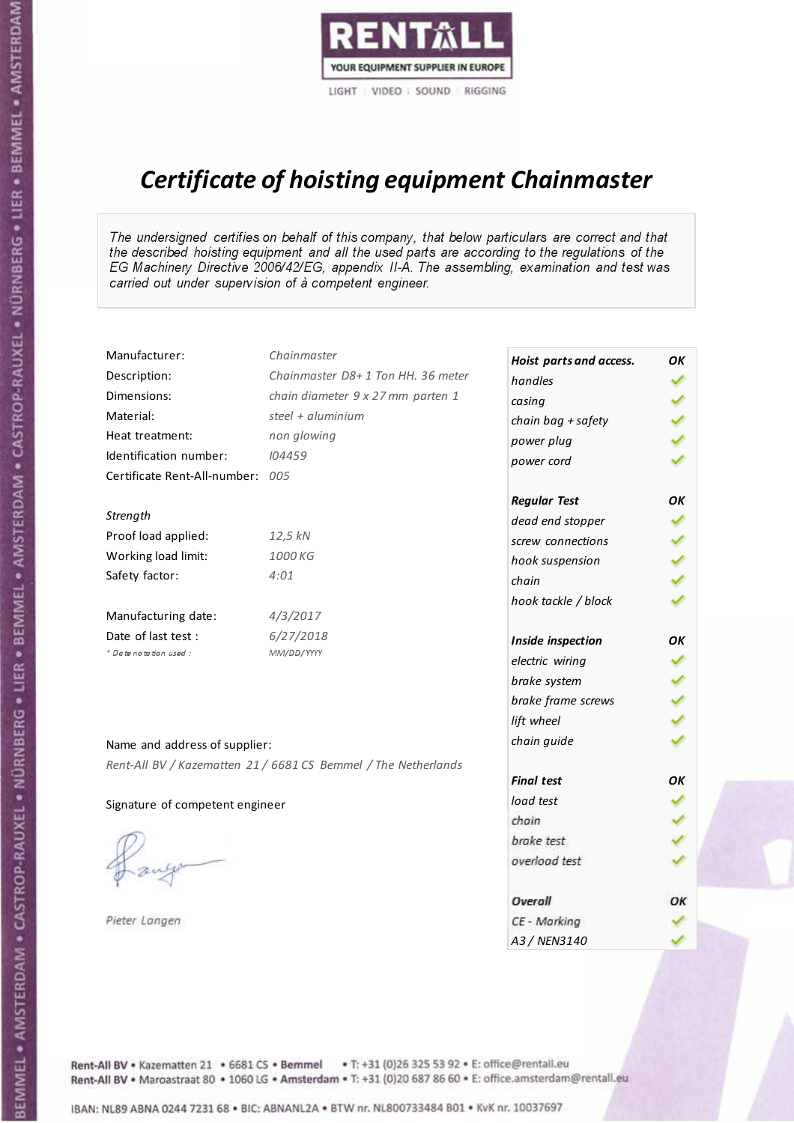

# Certificate of hoisting equipment Chainmaster

The undersigned certifies on behalf of this company, that below particulars are correct and that the described hoisting equipment and all the used parts are according to the regulations of the EG Machinery Directive 2006/42/EG, appendix II-A. The assembling, examination and test was carried out under supervision of à competent engineer.

| Manufacturer:                    | Chainmaster                                                    | Hoist parts and access. | OK  |
|----------------------------------|----------------------------------------------------------------|-------------------------|-----|
| Description:                     | Chainmaster D8+1 Ton HH. 36 meter                              | handles                 |     |
| Dimensions:                      | chain diameter 9 x 27 mm parten 1                              | casing                  |     |
| Material:                        | steel $+$ aluminium                                            | chain bag + safety      |     |
| Heat treatment:                  | non glowing                                                    | power plug              |     |
| Identification number:           | 104459                                                         | power cord              |     |
| Certificate Rent-All-number: 005 |                                                                |                         |     |
|                                  |                                                                | <b>Regular Test</b>     | OK  |
| Strength                         |                                                                | dead end stopper        | ✔   |
| Proof load applied:              | 12,5 kN                                                        | screw connections       |     |
| Working load limit:              | 1000 KG                                                        | hook suspension         |     |
| Safety factor:                   | 4:01                                                           | chain                   | くくく |
|                                  |                                                                | hook tackle / block     |     |
| Manufacturing date:              | 4/3/2017                                                       |                         |     |
| Date of last test :              | 6/27/2018                                                      | Inside inspection       | OK  |
| * Date notation used :           | MM/DD/YYYY                                                     | electric wiring         |     |
|                                  |                                                                | brake system            | ✔   |
|                                  |                                                                | brake frame screws      |     |
|                                  |                                                                | lift wheel              |     |
| Name and address of supplier:    |                                                                | chain guide             |     |
|                                  | Rent-All BV / Kazematten 21 / 6681 CS Bemmel / The Netherlands |                         |     |
|                                  |                                                                | <b>Final test</b>       | OK  |
| Signature of competent engineer  |                                                                | load test               |     |
|                                  |                                                                | chain                   |     |
|                                  |                                                                | brake test              |     |
|                                  |                                                                | overload test           |     |
|                                  |                                                                | Overall                 | OK  |
| Pieter Langen                    |                                                                | CE - Marking            |     |
|                                  |                                                                | A3 / NEN3140            |     |

Rent-All BV . Kazematten 21 . 6681 CS . Bemmel . T: +31 (0)26 325 53 92 . E: office@rentall.eu Rent-All BV · Maroastraat 80 · 1060 LG · Amsterdam · T: +31 (0)20 687 86 60 · E: office.amsterdam@rentall.eu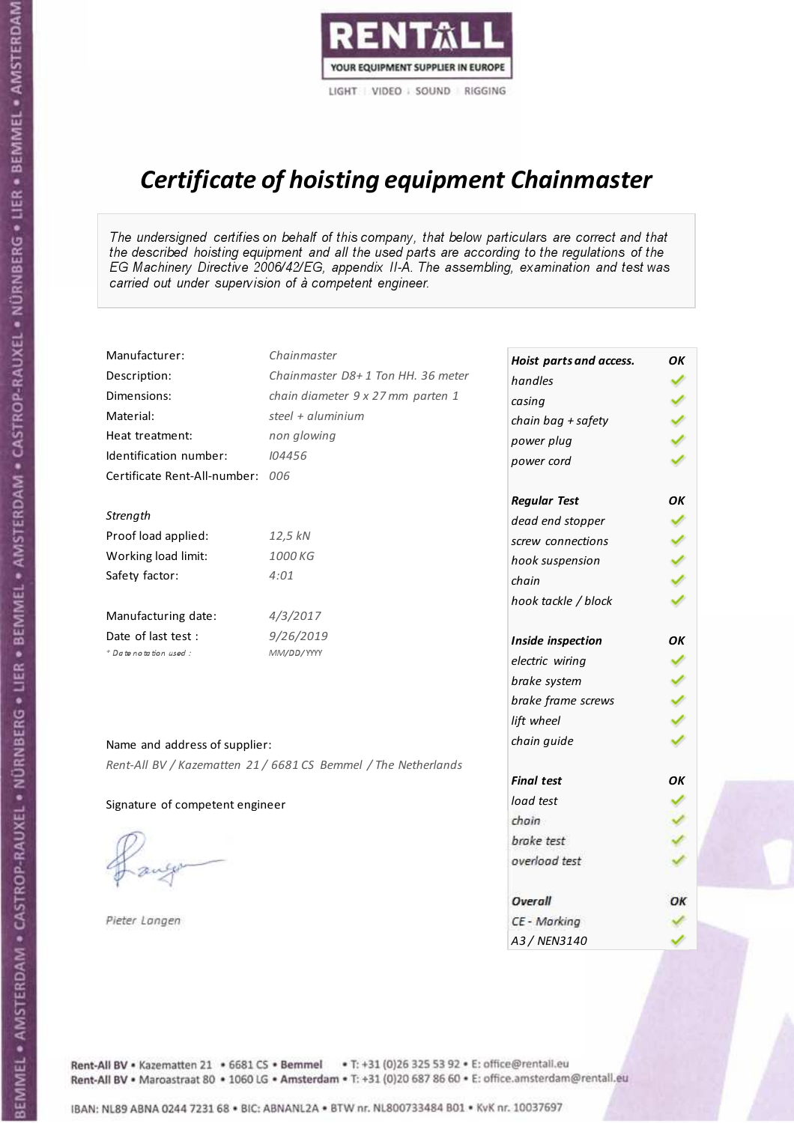

# Certificate of hoisting equipment Chainmaster

The undersigned certifies on behalf of this company, that below particulars are correct and that the described hoisting equipment and all the used parts are according to the regulations of the EG Machinery Directive 2006/42/EG, appendix II-A. The assembling, examination and test was carried out under supervision of à competent engineer.

| Manufacturer:                    | Chainmaster                                                    | Hoist parts and access. | OK  |
|----------------------------------|----------------------------------------------------------------|-------------------------|-----|
| Description:                     | Chainmaster D8+1 Ton HH, 36 meter                              | handles                 |     |
| Dimensions:                      | chain diameter 9 x 27 mm parten 1                              | casing                  |     |
| Material:                        | steel + aluminium                                              | chain bag + safety      |     |
| Heat treatment:                  | non glowing                                                    | power plug              |     |
| Identification number:           | 104456                                                         | power cord              |     |
| Certificate Rent-All-number: 006 |                                                                |                         |     |
|                                  |                                                                | <b>Regular Test</b>     | OK  |
| Strength                         |                                                                | dead end stopper        | ✔   |
| Proof load applied:              | 12,5 kN                                                        | screw connections       |     |
| Working load limit:              | 1000 KG                                                        | hook suspension         |     |
| Safety factor:                   | 4:01                                                           | chain                   | くくく |
|                                  |                                                                | hook tackle / block     |     |
| Manufacturing date:              | 4/3/2017                                                       |                         |     |
| Date of last test :              | 9/26/2019                                                      | Inside inspection       | ОΚ  |
| + Date notation used:            | MM/DD/YYYY                                                     | electric wiring         |     |
|                                  |                                                                | brake system            |     |
|                                  |                                                                | brake frame screws      |     |
|                                  |                                                                | lift wheel              |     |
| Name and address of supplier:    |                                                                | chain guide             |     |
|                                  | Rent-All BV / Kazematten 21 / 6681 CS Bemmel / The Netherlands |                         |     |
|                                  |                                                                | <b>Final test</b>       | OK  |
| Signature of competent engineer  |                                                                | load test               |     |
|                                  |                                                                | chain                   |     |
|                                  |                                                                | brake test              |     |
|                                  |                                                                | overload test           |     |
|                                  |                                                                | Overall                 | ОК  |
| Pieter Langen                    |                                                                | CE - Marking            |     |
|                                  |                                                                | A3 / NEN3140            |     |

Rent-All BV . Kazematten 21 . 6681 CS . Bemmel . T: +31 (0)26 325 53 92 . E: office@rentall.eu Rent-All BV · Maroastraat 80 · 1060 LG · Amsterdam · T: +31 (0)20 687 86 60 · E: office.amsterdam@rentall.eu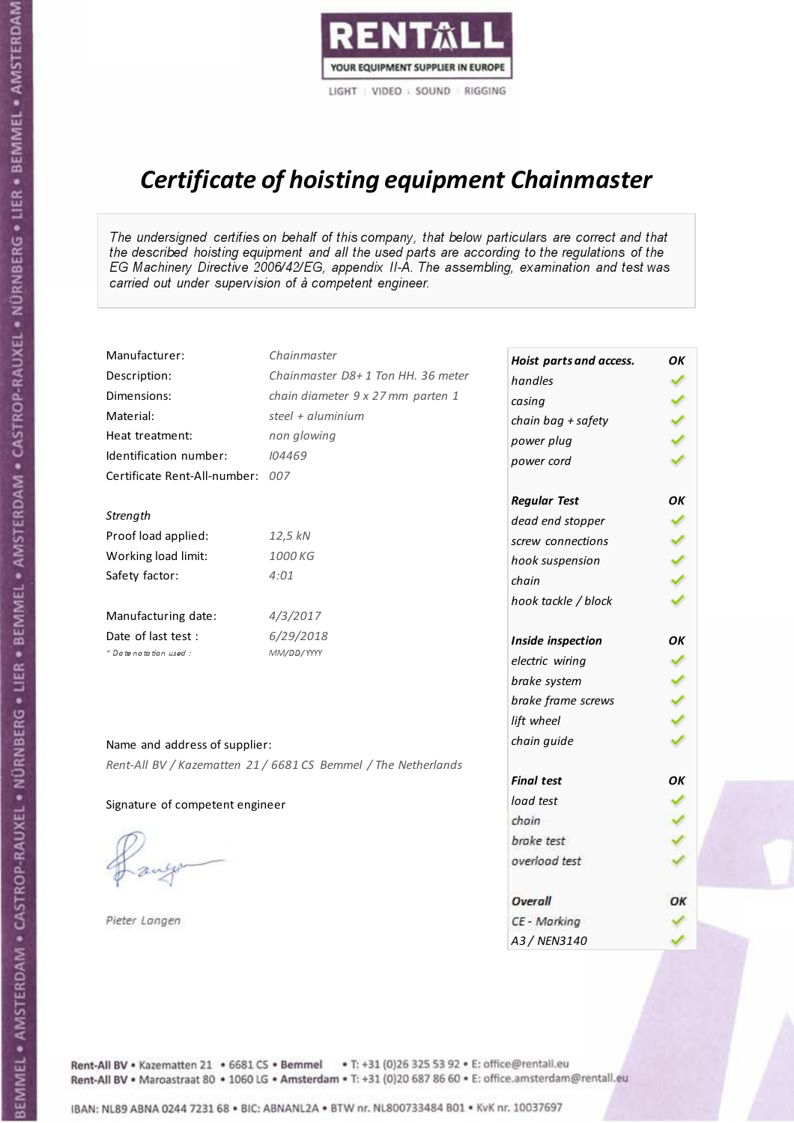

# Certificate of hoisting equipment Chainmaster

The undersigned certifies on behalf of this company, that below particulars are correct and that the described hoisting equipment and all the used parts are according to the regulations of the EG Machinery Directive 2006/42/EG, appendix II-A. The assembling, examination and test was carried out under supervision of à competent engineer.

| Manufacturer:                    | Chainmaster                                                    | Hoist parts and access. | OK  |
|----------------------------------|----------------------------------------------------------------|-------------------------|-----|
| Description:                     | Chainmaster D8+1 Ton HH, 36 meter                              | handles                 |     |
| Dimensions:                      | chain diameter 9 x 27 mm parten 1                              | casing                  |     |
| Material:                        | steel + $aluminim$                                             | chain bag + safety      |     |
| Heat treatment:                  | non glowing                                                    | power plug              |     |
| Identification number:           | 104469                                                         | power cord              |     |
| Certificate Rent-All-number: 007 |                                                                |                         |     |
|                                  |                                                                | <b>Regular Test</b>     | OK  |
| Strength                         |                                                                | dead end stopper        | ✔   |
| Proof load applied:              | 12,5 kN                                                        | screw connections       |     |
| Working load limit:              | 1000 KG                                                        | hook suspension         |     |
| Safety factor:                   | 4:01                                                           | chain                   | くくく |
|                                  |                                                                | hook tackle / block     |     |
| Manufacturing date:              | 4/3/2017                                                       |                         |     |
| Date of last test :              | 6/29/2018                                                      | Inside inspection       | ОΚ  |
| + Date notation used:            | MM/DD/YYYY                                                     | electric wiring         | ✓   |
|                                  |                                                                | brake system            | ✔   |
|                                  |                                                                | brake frame screws      |     |
|                                  |                                                                | lift wheel              |     |
| Name and address of supplier:    |                                                                | chain guide             |     |
|                                  | Rent-All BV / Kazematten 21 / 6681 CS Bemmel / The Netherlands |                         |     |
|                                  |                                                                | <b>Final test</b>       | OK  |
| Signature of competent engineer  |                                                                | load test               |     |
|                                  |                                                                | chain                   |     |
|                                  |                                                                | brake test              |     |
|                                  |                                                                | overload test           |     |
|                                  |                                                                | Overall                 | ОК  |
| Pieter Langen                    |                                                                | CE - Marking            |     |
|                                  |                                                                | A3 / NEN3140            |     |

Rent-All BV . Kazematten 21 . 6681 CS . Bemmel . T: +31 (0)26 325 53 92 . E: office@rentall.eu Rent-All BV · Maroastraat 80 · 1060 LG · Amsterdam · T: +31 (0)20 687 86 60 · E: office.amsterdam@rentall.eu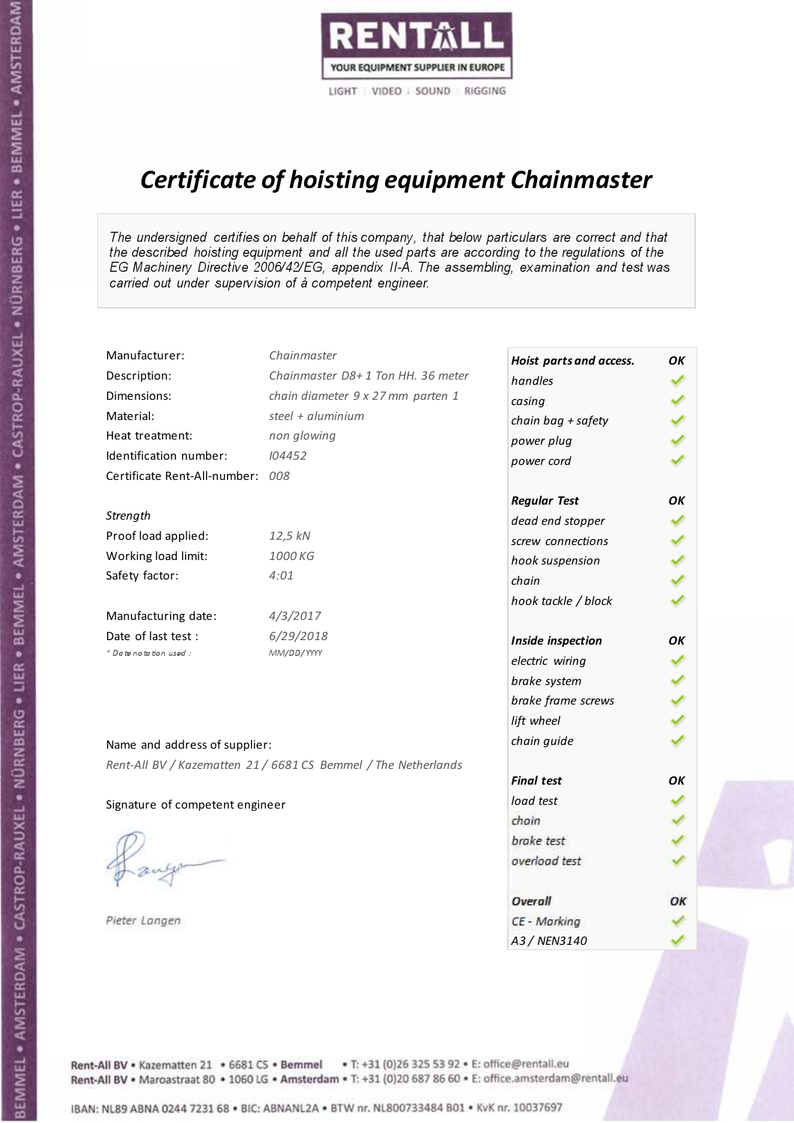

# Certificate of hoisting equipment Chainmaster

The undersigned certifies on behalf of this company, that below particulars are correct and that the described hoisting equipment and all the used parts are according to the regulations of the EG Machinery Directive 2006/42/EG, appendix II-A. The assembling, examination and test was carried out under supervision of à competent engineer.

| Manufacturer:                    | Chainmaster                                                    | Hoist parts and access. | OK  |
|----------------------------------|----------------------------------------------------------------|-------------------------|-----|
| Description:                     | Chainmaster D8+1 Ton HH. 36 meter                              | handles                 |     |
| Dimensions:                      | chain diameter 9 x 27 mm parten 1                              | casing                  |     |
| Material:                        | steel + $aluminim$                                             | chain bag + safety      |     |
| Heat treatment:                  | non glowing                                                    | power plug              |     |
| Identification number:           | 104452                                                         | power cord              |     |
| Certificate Rent-All-number: 008 |                                                                |                         |     |
|                                  |                                                                | <b>Regular Test</b>     | OK  |
| Strength                         |                                                                | dead end stopper        | ✔   |
| Proof load applied:              | 12,5 kN                                                        | screw connections       |     |
| Working load limit:              | 1000 KG                                                        | hook suspension         |     |
| Safety factor:                   | 4:01                                                           | chain                   | くくく |
|                                  |                                                                | hook tackle / block     |     |
| Manufacturing date:              | 4/3/2017                                                       |                         |     |
| Date of last test :              | 6/29/2018                                                      | Inside inspection       | OK  |
| + Date notation used :           | MM/DD/YYYY                                                     | electric wiring         |     |
|                                  |                                                                | brake system            |     |
|                                  |                                                                | brake frame screws      |     |
|                                  |                                                                | lift wheel              |     |
| Name and address of supplier:    |                                                                | chain guide             |     |
|                                  | Rent-All BV / Kazematten 21 / 6681 CS Bemmel / The Netherlands |                         |     |
|                                  |                                                                | <b>Final test</b>       | ΟK  |
| Signature of competent engineer  |                                                                | load test               |     |
|                                  |                                                                | chain                   |     |
|                                  |                                                                | brake test              |     |
|                                  |                                                                | overload test           |     |
|                                  |                                                                | Overall                 | OK  |
| Pieter Langen                    |                                                                | CE - Marking            |     |
|                                  |                                                                | A3 / NEN3140            |     |

Rent-All BV . Kazematten 21 . 6681 CS . Bemmel . T: +31 (0)26 325 53 92 . E: office@rentall.eu Rent-All BV · Maroastraat 80 · 1060 LG · Amsterdam · T: +31 (0)20 687 86 60 · E: office.amsterdam@rentall.eu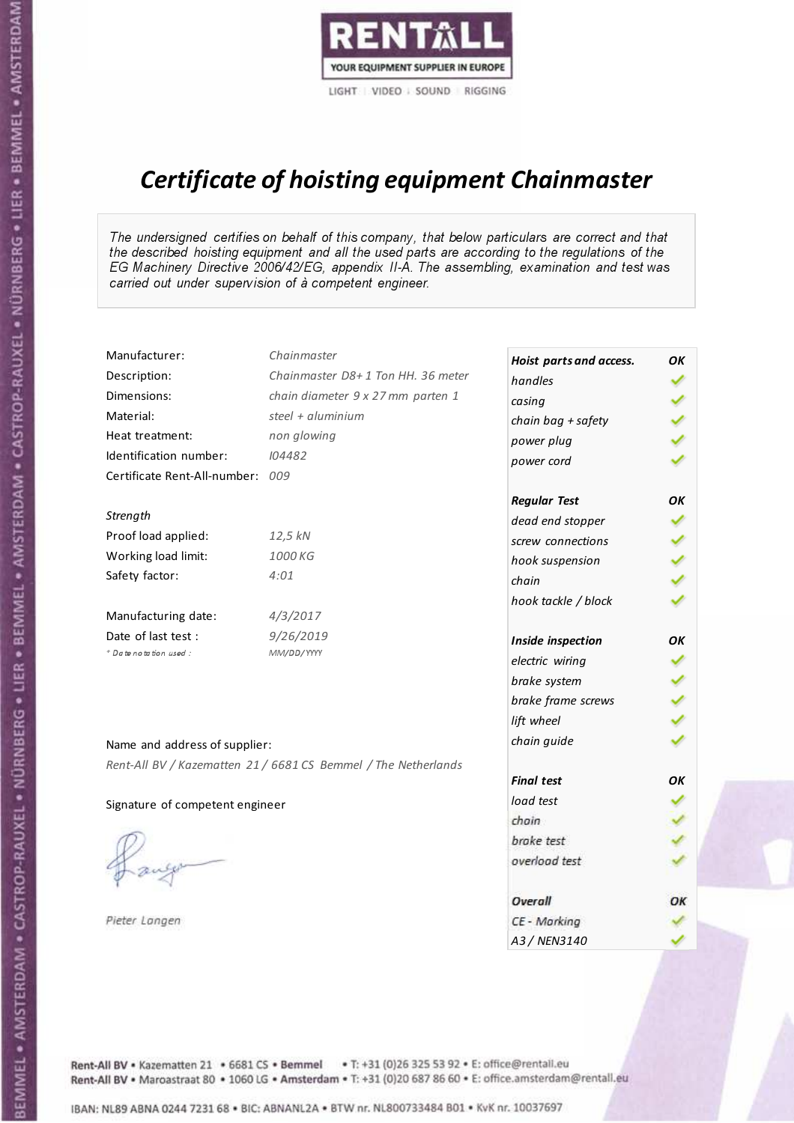

# Certificate of hoisting equipment Chainmaster

The undersigned certifies on behalf of this company, that below particulars are correct and that the described hoisting equipment and all the used parts are according to the regulations of the EG Machinery Directive 2006/42/EG, appendix II-A. The assembling, examination and test was carried out under supervision of à competent engineer.

| Manufacturer:                    | Chainmaster                                                    | Hoist parts and access. | OK  |
|----------------------------------|----------------------------------------------------------------|-------------------------|-----|
| Description:                     | Chainmaster D8+1 Ton HH, 36 meter                              | handles                 |     |
| Dimensions:                      | chain diameter 9 x 27 mm parten 1                              | casing                  |     |
| Material:                        | steel + $aluminim$                                             | chain bag + safety      |     |
| Heat treatment:                  | non glowing                                                    | power plug              |     |
| Identification number:           | 104482                                                         | power cord              |     |
| Certificate Rent-All-number: 009 |                                                                |                         |     |
|                                  |                                                                | <b>Regular Test</b>     | OK  |
| Strength                         |                                                                | dead end stopper        | ✔   |
| Proof load applied:              | 12,5 kN                                                        | screw connections       |     |
| Working load limit:              | 1000 KG                                                        | hook suspension         |     |
| Safety factor:                   | 4:01                                                           | chain                   | くくく |
|                                  |                                                                | hook tackle / block     |     |
| Manufacturing date:              | 4/3/2017                                                       |                         |     |
| Date of last test :              | 9/26/2019                                                      | Inside inspection       | ОΚ  |
| + Date notation used:            | MM/DD/YYYY                                                     | electric wiring         | ✓   |
|                                  |                                                                | brake system            |     |
|                                  |                                                                | brake frame screws      |     |
|                                  |                                                                | lift wheel              | くくく |
| Name and address of supplier:    |                                                                | chain guide             |     |
|                                  | Rent-All BV / Kazematten 21 / 6681 CS Bemmel / The Netherlands |                         |     |
|                                  |                                                                | <b>Final test</b>       | OK  |
| Signature of competent engineer  |                                                                | load test               |     |
|                                  |                                                                | chain                   |     |
|                                  |                                                                | brake test              |     |
|                                  |                                                                | overload test           |     |
|                                  |                                                                | Overall                 | OK  |
| Pieter Langen                    |                                                                | CE - Marking            |     |
|                                  |                                                                | A3 / NEN3140            |     |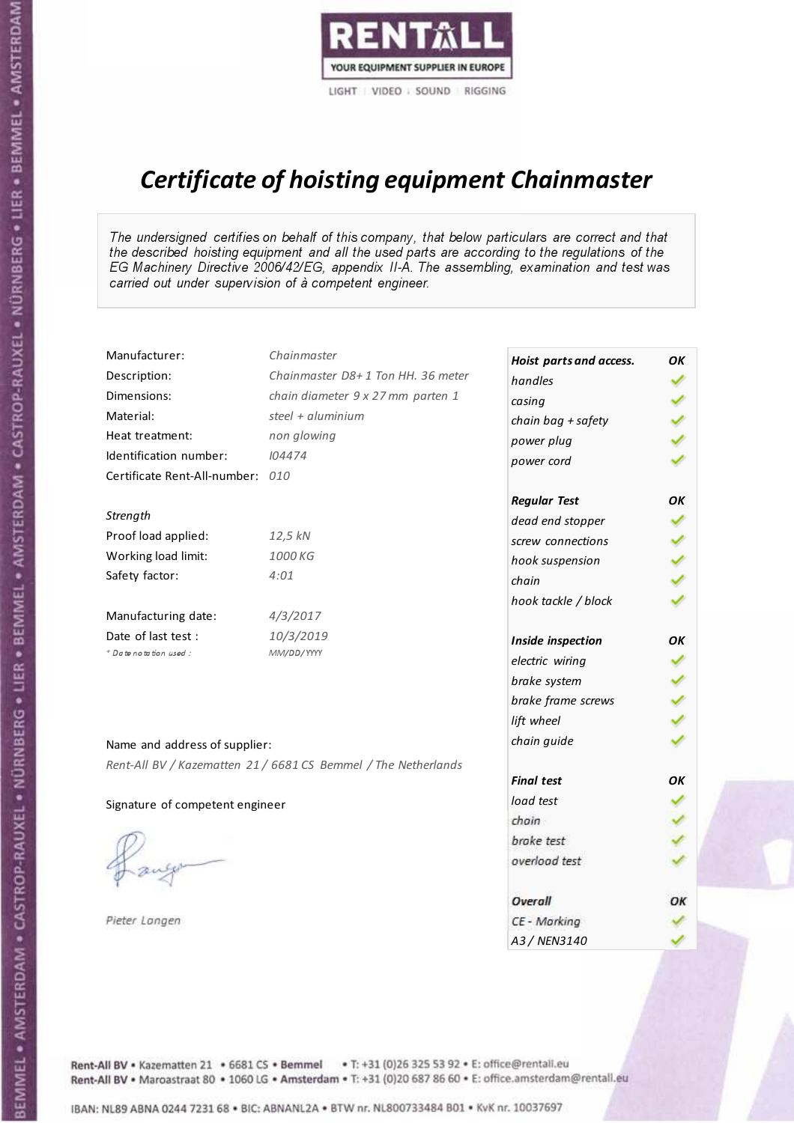

# Certificate of hoisting equipment Chainmaster

The undersigned certifies on behalf of this company, that below particulars are correct and that the described hoisting equipment and all the used parts are according to the regulations of the EG Machinery Directive 2006/42/EG, appendix II-A. The assembling, examination and test was carried out under supervision of à competent engineer.

| Manufacturer:                    | Chainmaster                                                    | Hoist parts and access. | OK  |
|----------------------------------|----------------------------------------------------------------|-------------------------|-----|
| Description:                     | Chainmaster D8+1 Ton HH, 36 meter                              | handles                 |     |
| Dimensions:                      | chain diameter 9 x 27 mm parten 1                              | casing                  |     |
| Material:                        | steel $+$ aluminium                                            | chain bag + safety      |     |
| Heat treatment:                  | non glowing                                                    | power plug              |     |
| Identification number:           | 104474                                                         | power cord              |     |
| Certificate Rent-All-number: 010 |                                                                |                         |     |
|                                  |                                                                | <b>Regular Test</b>     | ΟK  |
| Strength                         |                                                                | dead end stopper        | ✔   |
| Proof load applied:              | 12,5 kN                                                        | screw connections       |     |
| Working load limit:              | 1000 KG                                                        | hook suspension         |     |
| Safety factor:                   | 4:01                                                           | chain                   | くくく |
|                                  |                                                                | hook tackle / block     |     |
| Manufacturing date:              | 4/3/2017                                                       |                         |     |
| Date of last test :              | 10/3/2019                                                      | Inside inspection       | OΚ  |
| * Date notation used :           | MM/DD/YYYY                                                     | electric wiring         | ✔   |
|                                  |                                                                | brake system            |     |
|                                  |                                                                | brake frame screws      | くくく |
|                                  |                                                                | lift wheel              |     |
| Name and address of supplier:    |                                                                | chain guide             |     |
|                                  | Rent-All BV / Kazematten 21 / 6681 CS Bemmel / The Netherlands |                         |     |
|                                  |                                                                | <b>Final test</b>       | OK  |
| Signature of competent engineer  |                                                                | load test               |     |
|                                  |                                                                | chain                   |     |
|                                  |                                                                | brake test              |     |
|                                  |                                                                | overload test           |     |
|                                  |                                                                | Overall                 | ОК  |
| Pieter Langen                    |                                                                | CE - Marking            |     |
|                                  |                                                                | A3 / NEN3140            |     |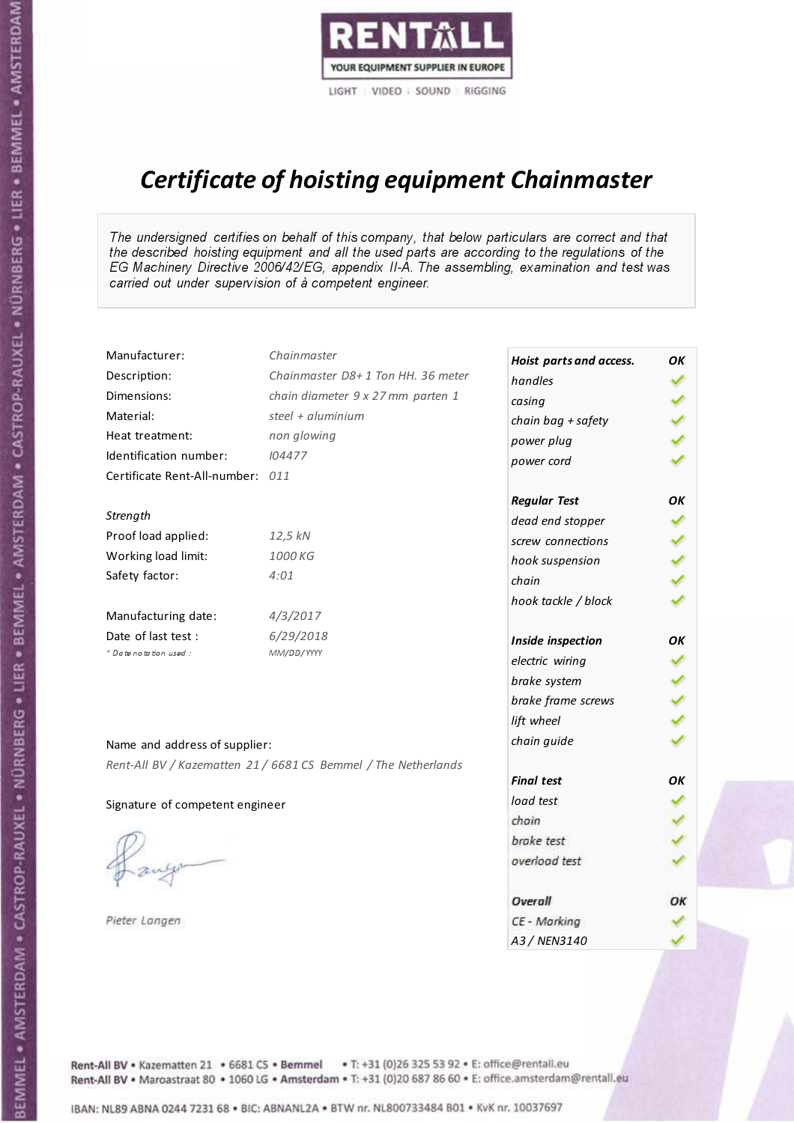

# Certificate of hoisting equipment Chainmaster

The undersigned certifies on behalf of this company, that below particulars are correct and that the described hoisting equipment and all the used parts are according to the regulations of the EG Machinery Directive 2006/42/EG, appendix II-A. The assembling, examination and test was carried out under supervision of à competent engineer.

| Manufacturer:                    | Chainmaster                                                    | Hoist parts and access. | OK  |
|----------------------------------|----------------------------------------------------------------|-------------------------|-----|
| Description:                     | Chainmaster D8+1 Ton HH, 36 meter                              | handles                 |     |
| Dimensions:                      | chain diameter 9 x 27 mm parten 1                              | casing                  |     |
| Material:                        | steel $+$ aluminium                                            | chain bag + safety      |     |
| Heat treatment:                  | non glowing                                                    | power plug              |     |
| Identification number:           | 104477                                                         | power cord              |     |
| Certificate Rent-All-number: 011 |                                                                |                         |     |
|                                  |                                                                | <b>Regular Test</b>     | ОΚ  |
| Strength                         |                                                                | dead end stopper        |     |
| Proof load applied:              | 12,5 kN                                                        | screw connections       |     |
| Working load limit:              | 1000 KG                                                        | hook suspension         |     |
| Safety factor:                   | 4:01                                                           | chain                   | くくく |
|                                  |                                                                | hook tackle / block     |     |
| Manufacturing date:              | 4/3/2017                                                       |                         |     |
| Date of last test :              | 6/29/2018                                                      | Inside inspection       | ОΚ  |
| + Date notation used :           | MM/DD/YYYY                                                     | electric wiring         | ✔   |
|                                  |                                                                | brake system            |     |
|                                  |                                                                | brake frame screws      |     |
|                                  |                                                                | lift wheel              |     |
| Name and address of supplier:    |                                                                | chain guide             |     |
|                                  | Rent-All BV / Kazematten 21 / 6681 CS Bemmel / The Netherlands |                         |     |
|                                  |                                                                | <b>Final test</b>       | OK  |
| Signature of competent engineer  |                                                                | load test               |     |
|                                  |                                                                | chain                   |     |
|                                  |                                                                | brake test              |     |
|                                  |                                                                | overload test           |     |
|                                  |                                                                | Overall                 | ОК  |
| Pieter Langen                    |                                                                | CE - Marking            |     |
|                                  |                                                                | A3 / NEN3140            |     |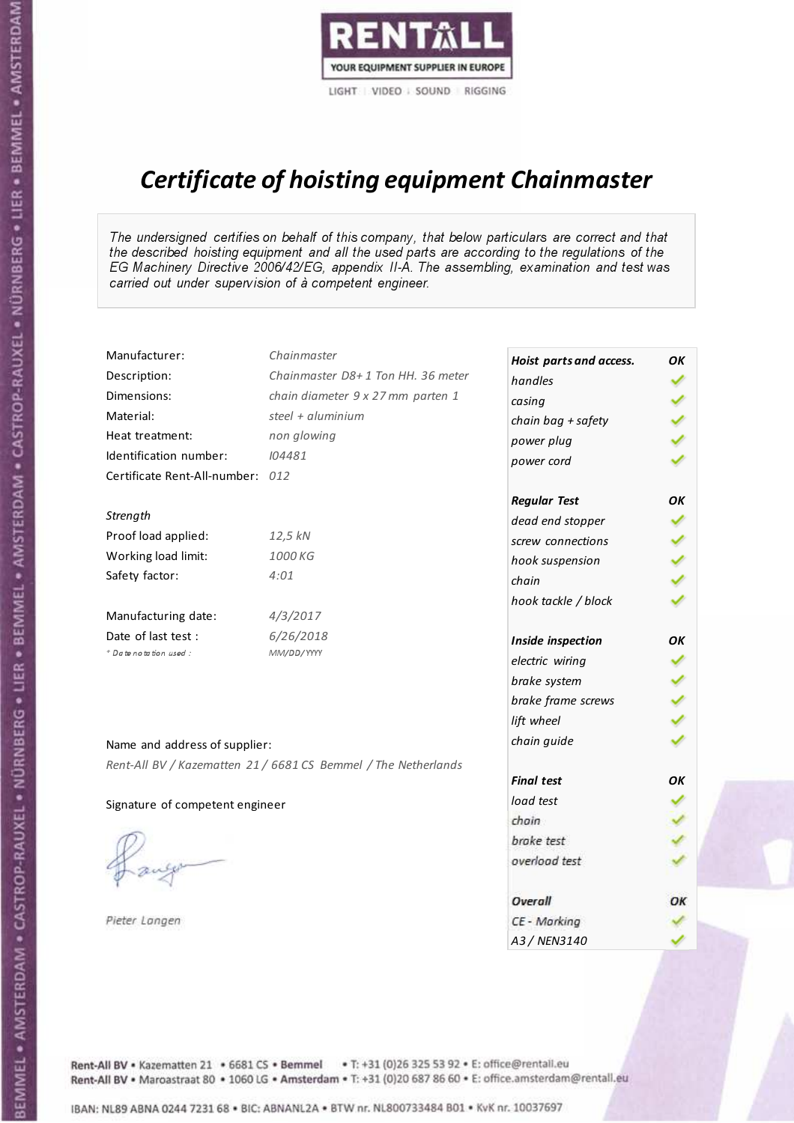

# Certificate of hoisting equipment Chainmaster

The undersigned certifies on behalf of this company, that below particulars are correct and that the described hoisting equipment and all the used parts are according to the regulations of the EG Machinery Directive 2006/42/EG, appendix II-A. The assembling, examination and test was carried out under supervision of à competent engineer.

| Manufacturer:                    | Chainmaster                                                    | Hoist parts and access. | OK  |
|----------------------------------|----------------------------------------------------------------|-------------------------|-----|
| Description:                     | Chainmaster D8+1 Ton HH. 36 meter                              | handles                 |     |
| Dimensions:                      | chain diameter 9 x 27 mm parten 1                              | casing                  |     |
| Material:                        | steel + aluminium                                              | chain bag + safety      |     |
| Heat treatment:                  | non glowing                                                    | power plug              |     |
| Identification number:           | 104481                                                         | power cord              |     |
| Certificate Rent-All-number: 012 |                                                                |                         |     |
|                                  |                                                                | <b>Regular Test</b>     | OK  |
| Strength                         |                                                                | dead end stopper        | ✔   |
| Proof load applied:              | 12,5 kN                                                        | screw connections       |     |
| Working load limit:              | 1000 KG                                                        | hook suspension         |     |
| Safety factor:                   | 4:01                                                           | chain                   | くくく |
|                                  |                                                                | hook tackle / block     |     |
| Manufacturing date:              | 4/3/2017                                                       |                         |     |
| Date of last test :              | 6/26/2018                                                      | Inside inspection       | ОΚ  |
| * Date notation used :           | MM/DD/YYYY                                                     | electric wiring         | ✓   |
|                                  |                                                                | brake system            | ✔   |
|                                  |                                                                | brake frame screws      |     |
|                                  |                                                                | lift wheel              |     |
| Name and address of supplier:    |                                                                | chain guide             |     |
|                                  | Rent-All BV / Kazematten 21 / 6681 CS Bemmel / The Netherlands |                         |     |
|                                  |                                                                | <b>Final test</b>       | OK  |
| Signature of competent engineer  |                                                                | load test               |     |
|                                  |                                                                | chain                   |     |
|                                  |                                                                | brake test              |     |
|                                  |                                                                | overload test           |     |
|                                  |                                                                | Overall                 | ОК  |
| Pieter Langen                    |                                                                | CE - Marking            |     |
|                                  |                                                                | A3 / NEN3140            |     |

Rent-All BV . Kazematten 21 . 6681 CS . Bemmel . T: +31 (0)26 325 53 92 . E: office@rentall.eu Rent-All BV · Maroastraat 80 · 1060 LG · Amsterdam · T: +31 (0)20 687 86 60 · E: office.amsterdam@rentall.eu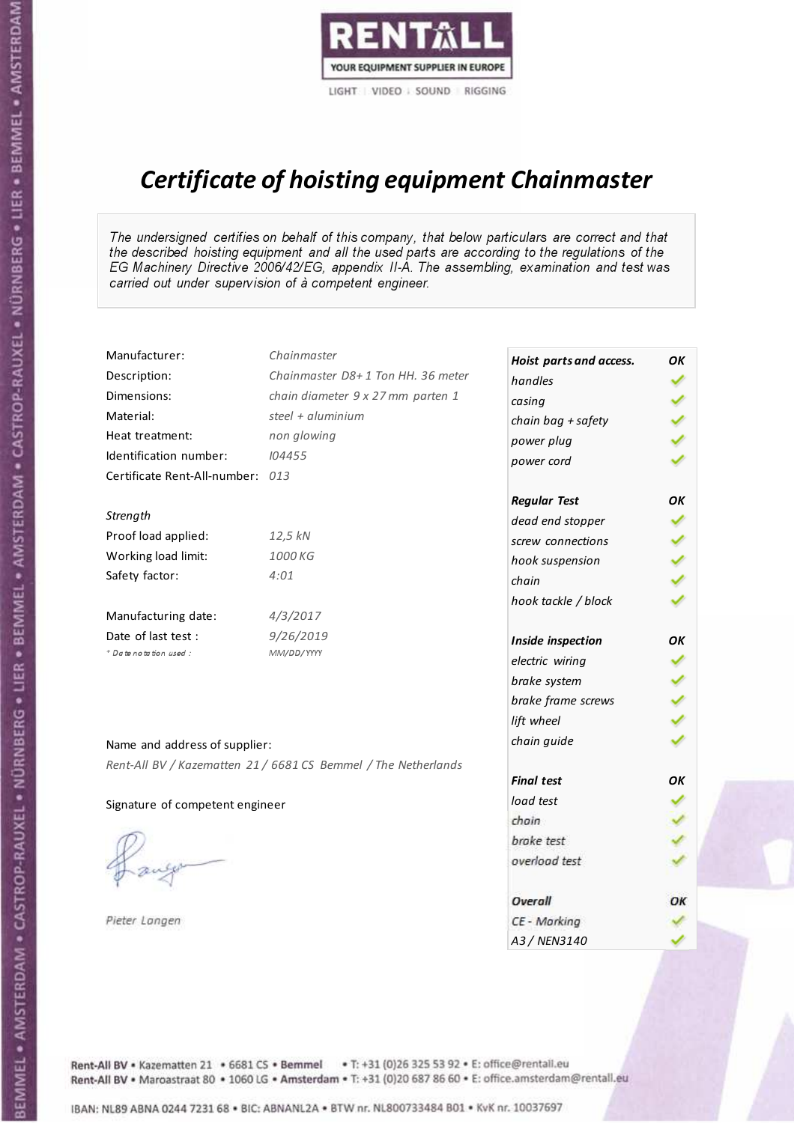

# Certificate of hoisting equipment Chainmaster

The undersigned certifies on behalf of this company, that below particulars are correct and that the described hoisting equipment and all the used parts are according to the regulations of the EG Machinery Directive 2006/42/EG, appendix II-A. The assembling, examination and test was carried out under supervision of à competent engineer.

| Manufacturer:                    | Chainmaster                                                    | Hoist parts and access. | OK  |
|----------------------------------|----------------------------------------------------------------|-------------------------|-----|
| Description:                     | Chainmaster D8+1 Ton HH. 36 meter                              | handles                 |     |
| Dimensions:                      | chain diameter 9 x 27 mm parten 1                              | casing                  |     |
| Material:                        | steel $+$ aluminium                                            | chain bag + safety      |     |
| Heat treatment:                  | non glowing                                                    | power plug              |     |
| Identification number:           | 104455                                                         | power cord              |     |
| Certificate Rent-All-number: 013 |                                                                |                         |     |
|                                  |                                                                | <b>Regular Test</b>     | ОΚ  |
| Strength                         |                                                                | dead end stopper        | ✔   |
| Proof load applied:              | 12,5 kN                                                        | screw connections       |     |
| Working load limit:              | 1000 KG                                                        | hook suspension         |     |
| Safety factor:                   | 4:01                                                           | chain                   | くくく |
|                                  |                                                                | hook tackle / block     |     |
| Manufacturing date:              | 4/3/2017                                                       |                         |     |
| Date of last test :              | 9/26/2019                                                      | Inside inspection       | ОΚ  |
| * Date notation used :           | MM/DD/YYYY                                                     | electric wiring         |     |
|                                  |                                                                | brake system            | ✔   |
|                                  |                                                                | brake frame screws      |     |
|                                  |                                                                | lift wheel              |     |
| Name and address of supplier:    |                                                                | chain guide             |     |
|                                  | Rent-All BV / Kazematten 21 / 6681 CS Bemmel / The Netherlands |                         |     |
|                                  |                                                                | <b>Final test</b>       | OK  |
| Signature of competent engineer  |                                                                | load test               |     |
|                                  |                                                                | chain                   |     |
|                                  |                                                                | brake test              |     |
|                                  |                                                                | overload test           |     |
|                                  |                                                                | Overall                 | OК  |
| Pieter Langen                    |                                                                | CE - Marking            |     |
|                                  |                                                                | A3 / NEN3140            |     |

Rent-All BV . Kazematten 21 . 6681 CS . Bemmel . T: +31 (0)26 325 53 92 . E: office@rentall.eu Rent-All BV · Maroastraat 80 · 1060 LG · Amsterdam · T: +31 (0)20 687 86 60 · E: office.amsterdam@rentall.eu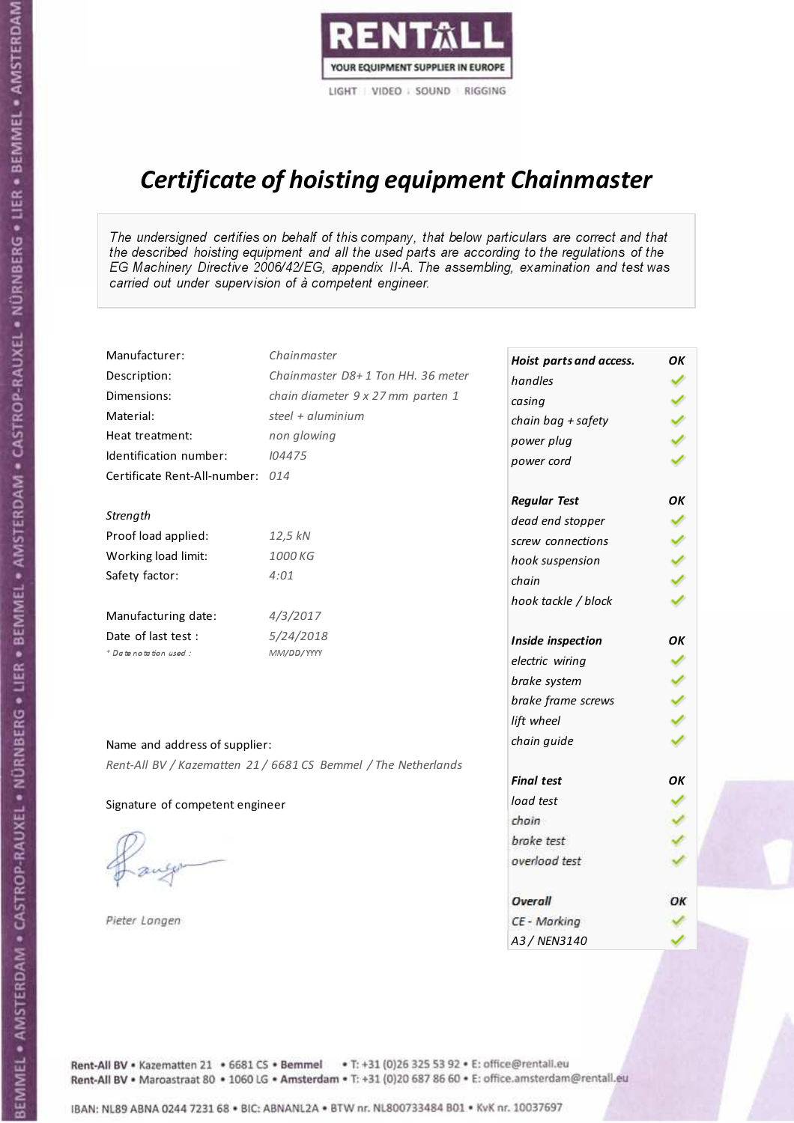

# Certificate of hoisting equipment Chainmaster

The undersigned certifies on behalf of this company, that below particulars are correct and that the described hoisting equipment and all the used parts are according to the regulations of the EG Machinery Directive 2006/42/EG, appendix II-A. The assembling, examination and test was carried out under supervision of à competent engineer.

| Manufacturer:                    | Chainmaster                                                    | Hoist parts and access. | OK  |
|----------------------------------|----------------------------------------------------------------|-------------------------|-----|
| Description:                     | Chainmaster D8+1 Ton HH, 36 meter                              | handles                 |     |
| Dimensions:                      | chain diameter 9 x 27 mm parten 1                              | casing                  |     |
| Material:                        | steel $+$ aluminium                                            | chain bag + safety      |     |
| Heat treatment:                  | non glowing                                                    | power plug              |     |
| Identification number:           | 104475                                                         | power cord              |     |
| Certificate Rent-All-number: 014 |                                                                |                         |     |
|                                  |                                                                | <b>Regular Test</b>     | ОΚ  |
| Strength                         |                                                                | dead end stopper        |     |
| Proof load applied:              | 12,5 kN                                                        | screw connections       |     |
| Working load limit:              | 1000 KG                                                        | hook suspension         |     |
| Safety factor:                   | 4:01                                                           | chain                   | くくく |
|                                  |                                                                | hook tackle / block     |     |
| Manufacturing date:              | 4/3/2017                                                       |                         |     |
| Date of last test :              | 5/24/2018                                                      | Inside inspection       | ОΚ  |
| * Date notation used :           | MM/DD/YYYY                                                     | electric wiring         | ✔   |
|                                  |                                                                | brake system            |     |
|                                  |                                                                | brake frame screws      |     |
|                                  |                                                                | lift wheel              |     |
| Name and address of supplier:    |                                                                | chain guide             |     |
|                                  | Rent-All BV / Kazematten 21 / 6681 CS Bemmel / The Netherlands |                         |     |
|                                  |                                                                | <b>Final test</b>       | OK  |
| Signature of competent engineer  |                                                                | load test               |     |
|                                  |                                                                | chain                   |     |
|                                  |                                                                | brake test              |     |
|                                  |                                                                | overload test           |     |
|                                  |                                                                | Overall                 | OК  |
| Pieter Langen                    |                                                                | CE - Marking            |     |
|                                  |                                                                | A3 / NEN3140            |     |

Rent-All BV . Kazematten 21 . 6681 CS . Bemmel . T: +31 (0)26 325 53 92 . E: office@rentall.eu Rent-All BV · Maroastraat 80 · 1060 LG · Amsterdam · T: +31 (0)20 687 86 60 · E: office.amsterdam@rentall.eu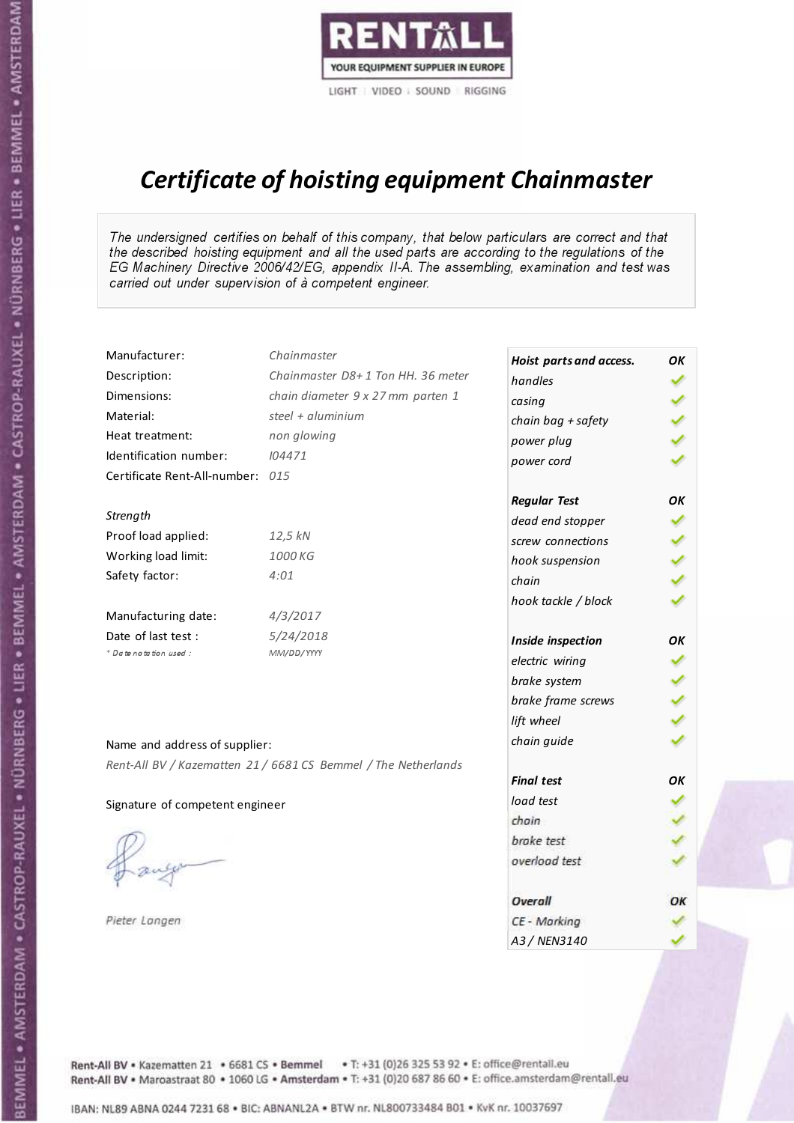

# Certificate of hoisting equipment Chainmaster

The undersigned certifies on behalf of this company, that below particulars are correct and that the described hoisting equipment and all the used parts are according to the regulations of the EG Machinery Directive 2006/42/EG, appendix II-A. The assembling, examination and test was carried out under supervision of à competent engineer.

| Manufacturer:                    | Chainmaster                                                    | Hoist parts and access. | OK  |
|----------------------------------|----------------------------------------------------------------|-------------------------|-----|
| Description:                     | Chainmaster D8+1 Ton HH. 36 meter                              | handles                 |     |
| Dimensions:                      | chain diameter 9 x 27 mm parten 1                              | casing                  |     |
| Material:                        | steel $+$ aluminium                                            | chain bag + safety      |     |
| Heat treatment:                  | non glowing                                                    | power plug              |     |
| Identification number:           | 104471                                                         | power cord              |     |
| Certificate Rent-All-number: 015 |                                                                |                         |     |
|                                  |                                                                | <b>Regular Test</b>     | OK  |
| Strength                         |                                                                | dead end stopper        | ✔   |
| Proof load applied:              | 12,5 kN                                                        | screw connections       |     |
| Working load limit:              | 1000 KG                                                        | hook suspension         |     |
| Safety factor:                   | 4:01                                                           | chain                   | くくく |
|                                  |                                                                | hook tackle / block     |     |
| Manufacturing date:              | 4/3/2017                                                       |                         |     |
| Date of last test :              | 5/24/2018                                                      | Inside inspection       | OK  |
| * Date notation used :           | MM/DD/YYYY                                                     | electric wiring         |     |
|                                  |                                                                | brake system            | ✔   |
|                                  |                                                                | brake frame screws      |     |
|                                  |                                                                | lift wheel              |     |
| Name and address of supplier:    |                                                                | chain guide             |     |
|                                  | Rent-All BV / Kazematten 21 / 6681 CS Bemmel / The Netherlands |                         |     |
|                                  |                                                                | <b>Final test</b>       | OK  |
| Signature of competent engineer  |                                                                | load test               |     |
|                                  |                                                                | chain                   |     |
|                                  |                                                                | brake test              |     |
|                                  |                                                                | overload test           |     |
|                                  |                                                                | Overall                 | OK  |
| Pieter Langen                    |                                                                | CE - Marking            |     |
|                                  |                                                                | A3 / NEN3140            |     |

Rent-All BV . Kazematten 21 . 6681 CS . Bemmel . T: +31 (0)26 325 53 92 . E: office@rentall.eu Rent-All BV · Maroastraat 80 · 1060 LG · Amsterdam · T: +31 (0)20 687 86 60 · E: office.amsterdam@rentall.eu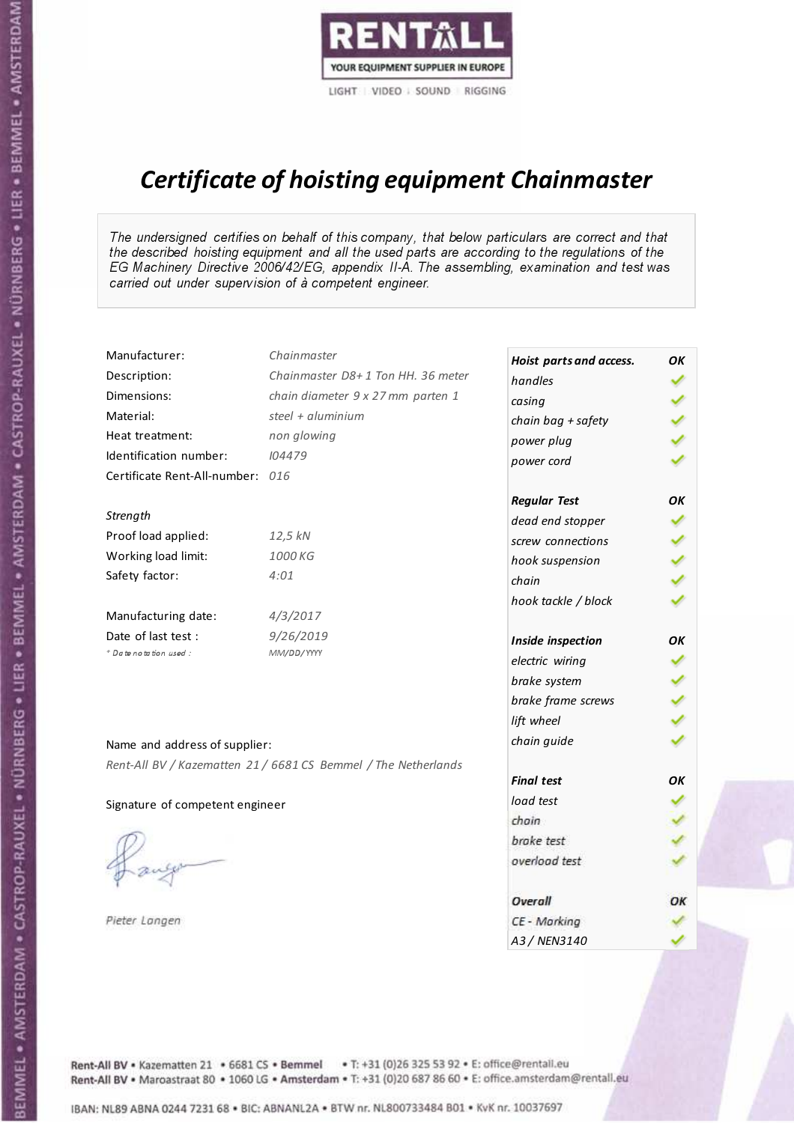

# Certificate of hoisting equipment Chainmaster

The undersigned certifies on behalf of this company, that below particulars are correct and that the described hoisting equipment and all the used parts are according to the regulations of the EG Machinery Directive 2006/42/EG, appendix II-A. The assembling, examination and test was carried out under supervision of à competent engineer.

| Manufacturer:                    | Chainmaster                                                    | Hoist parts and access. | OK  |
|----------------------------------|----------------------------------------------------------------|-------------------------|-----|
| Description:                     | Chainmaster D8+1 Ton HH. 36 meter                              | handles                 |     |
| Dimensions:                      | chain diameter 9 x 27 mm parten 1                              | casing                  |     |
| Material:                        | steel $+$ aluminium                                            | chain bag + safety      |     |
| Heat treatment:                  | non glowing                                                    | power plug              |     |
| Identification number:           | 104479                                                         | power cord              |     |
| Certificate Rent-All-number: 016 |                                                                |                         |     |
|                                  |                                                                | <b>Regular Test</b>     | OK  |
| Strength                         |                                                                | dead end stopper        | ✔   |
| Proof load applied:              | 12,5 kN                                                        | screw connections       |     |
| Working load limit:              | 1000 KG                                                        | hook suspension         |     |
| Safety factor:                   | 4:01                                                           | chain                   | くくく |
|                                  |                                                                | hook tackle / block     |     |
| Manufacturing date:              | 4/3/2017                                                       |                         |     |
| Date of last test :              | 9/26/2019                                                      | Inside inspection       | OK  |
| * Date notation used :           | MM/DD/YYYY                                                     | electric wiring         |     |
|                                  |                                                                | brake system            | ✔   |
|                                  |                                                                | brake frame screws      |     |
|                                  |                                                                | lift wheel              |     |
| Name and address of supplier:    |                                                                | chain guide             |     |
|                                  | Rent-All BV / Kazematten 21 / 6681 CS Bemmel / The Netherlands |                         |     |
|                                  |                                                                | <b>Final test</b>       | OK  |
| Signature of competent engineer  |                                                                | load test               |     |
|                                  |                                                                | chain                   |     |
|                                  |                                                                | brake test              |     |
|                                  |                                                                | overload test           |     |
|                                  |                                                                | Overall                 | OK  |
| Pieter Langen                    |                                                                | CE - Marking            |     |
|                                  |                                                                | A3 / NEN3140            |     |

Rent-All BV . Kazematten 21 . 6681 CS . Bemmel . T: +31 (0)26 325 53 92 . E: office@rentall.eu Rent-All BV · Maroastraat 80 · 1060 LG · Amsterdam · T: +31 (0)20 687 86 60 · E: office.amsterdam@rentall.eu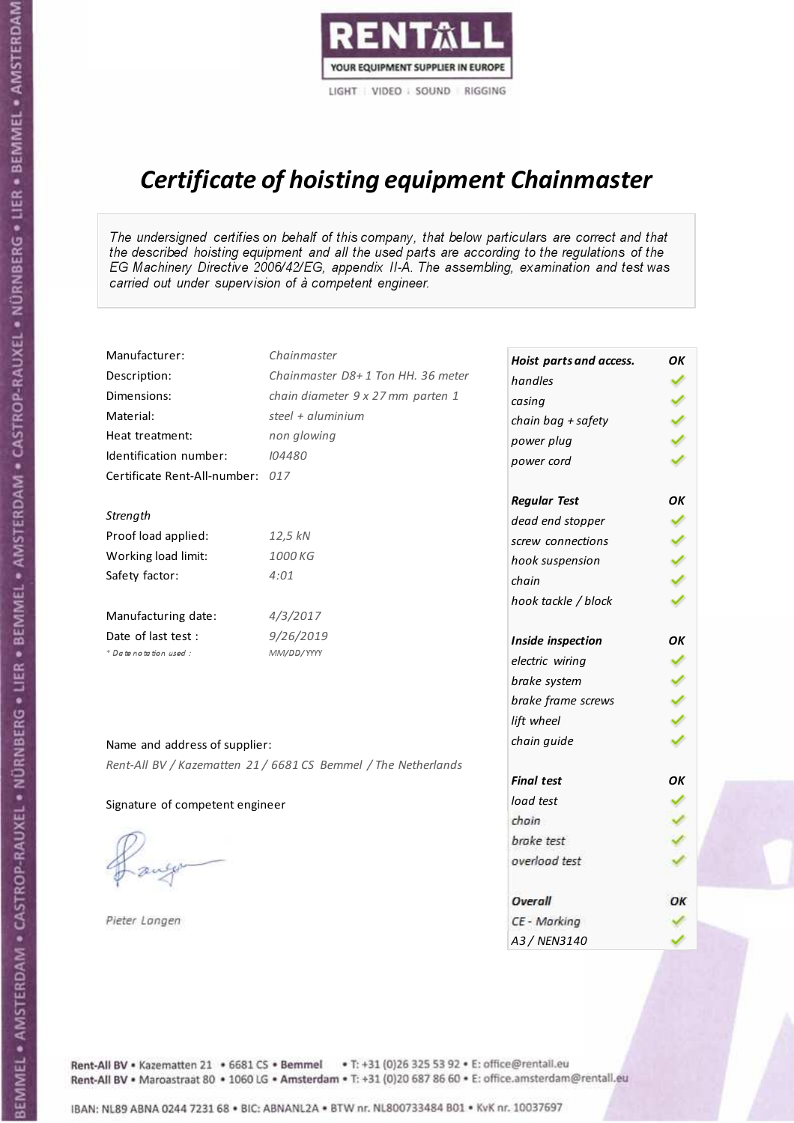

# Certificate of hoisting equipment Chainmaster

The undersigned certifies on behalf of this company, that below particulars are correct and that the described hoisting equipment and all the used parts are according to the regulations of the EG Machinery Directive 2006/42/EG, appendix II-A. The assembling, examination and test was carried out under supervision of à competent engineer.

| Manufacturer:                    | Chainmaster                                                    | Hoist parts and access. | OK  |
|----------------------------------|----------------------------------------------------------------|-------------------------|-----|
| Description:                     | Chainmaster D8+1 Ton HH, 36 meter                              | handles                 |     |
| Dimensions:                      | chain diameter 9 x 27 mm parten 1                              | casing                  |     |
| Material:                        | steel + $aluminim$                                             | chain bag + safety      |     |
| Heat treatment:                  | non glowing                                                    | power plug              |     |
| Identification number:           | 104480                                                         | power cord              |     |
| Certificate Rent-All-number: 017 |                                                                |                         |     |
|                                  |                                                                | <b>Regular Test</b>     | OK  |
| Strength                         |                                                                | dead end stopper        | ✔   |
| Proof load applied:              | 12,5 kN                                                        | screw connections       |     |
| Working load limit:              | 1000 KG                                                        | hook suspension         |     |
| Safety factor:                   | 4:01                                                           | chain                   | くくく |
|                                  |                                                                | hook tackle / block     |     |
| Manufacturing date:              | 4/3/2017                                                       |                         |     |
| Date of last test :              | 9/26/2019                                                      | Inside inspection       | ОΚ  |
| + Date notation used:            | MM/DD/YYYY                                                     | electric wiring         | ✓   |
|                                  |                                                                | brake system            |     |
|                                  |                                                                | brake frame screws      |     |
|                                  |                                                                | lift wheel              | くくく |
| Name and address of supplier:    |                                                                | chain guide             |     |
|                                  | Rent-All BV / Kazematten 21 / 6681 CS Bemmel / The Netherlands |                         |     |
|                                  |                                                                | <b>Final test</b>       | OK  |
| Signature of competent engineer  |                                                                | load test               |     |
|                                  |                                                                | chain                   |     |
|                                  |                                                                | brake test              |     |
|                                  |                                                                | overload test           |     |
|                                  |                                                                | Overall                 | OK  |
| Pieter Langen                    |                                                                | CE - Marking            |     |
|                                  |                                                                | A3 / NEN3140            |     |

Rent-All BV . Kazematten 21 . 6681 CS . Bemmel . T: +31 (0)26 325 53 92 . E: office@rentall.eu Rent-All BV · Maroastraat 80 · 1060 LG · Amsterdam · T: +31 (0)20 687 86 60 · E: office.amsterdam@rentall.eu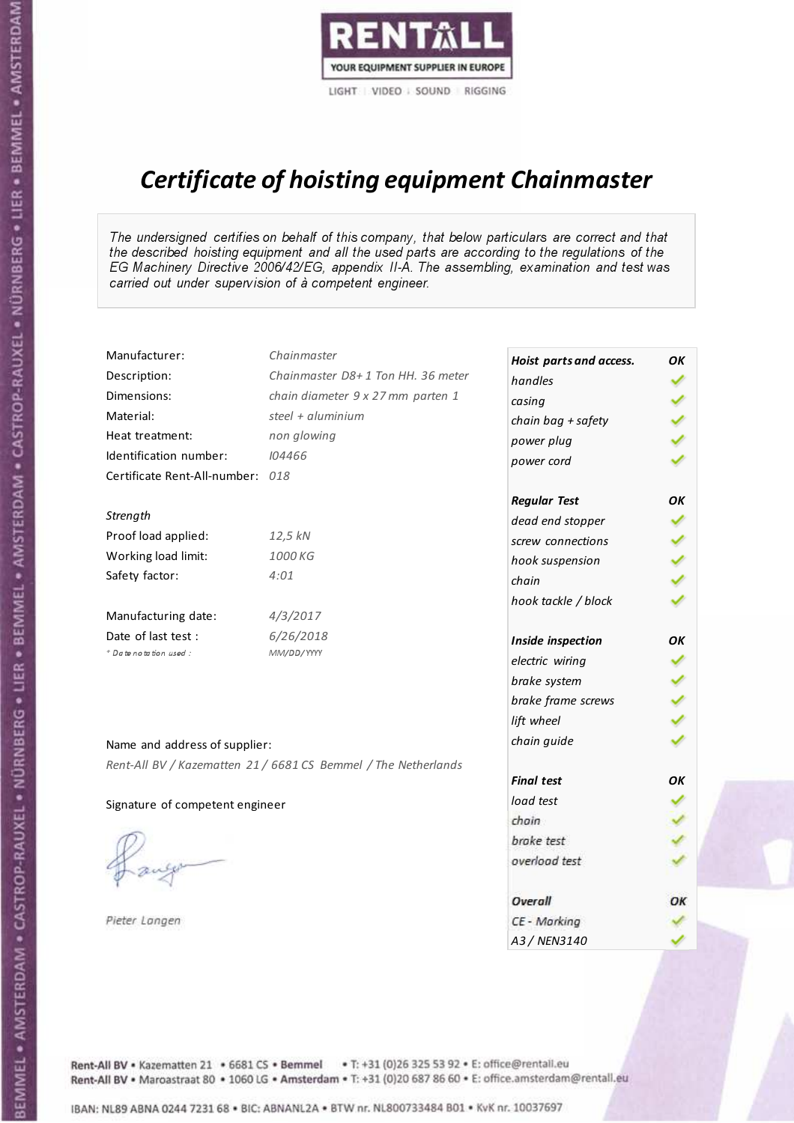

# Certificate of hoisting equipment Chainmaster

The undersigned certifies on behalf of this company, that below particulars are correct and that the described hoisting equipment and all the used parts are according to the regulations of the EG Machinery Directive 2006/42/EG, appendix II-A. The assembling, examination and test was carried out under supervision of à competent engineer.

| Manufacturer:                    | Chainmaster                                                    | Hoist parts and access. | OK  |
|----------------------------------|----------------------------------------------------------------|-------------------------|-----|
| Description:                     | Chainmaster D8+1 Ton HH, 36 meter                              | handles                 |     |
| Dimensions:                      | chain diameter 9 x 27 mm parten 1                              | casing                  |     |
| Material:                        | steel $+$ aluminium                                            | chain bag + safety      |     |
| Heat treatment:                  | non glowing                                                    | power plug              |     |
| Identification number:           | 104466                                                         | power cord              |     |
| Certificate Rent-All-number: 018 |                                                                |                         |     |
|                                  |                                                                | <b>Regular Test</b>     | ΟK  |
| Strength                         |                                                                | dead end stopper        | ✔   |
| Proof load applied:              | 12,5 kN                                                        | screw connections       |     |
| Working load limit:              | 1000 KG                                                        | hook suspension         |     |
| Safety factor:                   | 4:01                                                           | chain                   | くくく |
|                                  |                                                                | hook tackle / block     |     |
| Manufacturing date:              | 4/3/2017                                                       |                         |     |
| Date of last test :              | 6/26/2018                                                      | Inside inspection       | OΚ  |
| + Date notation used :           | MM/DD/YYYY                                                     | electric wiring         | ✔   |
|                                  |                                                                | brake system            |     |
|                                  |                                                                | brake frame screws      |     |
|                                  |                                                                | lift wheel              | くくく |
| Name and address of supplier:    |                                                                | chain guide             |     |
|                                  | Rent-All BV / Kazematten 21 / 6681 CS Bemmel / The Netherlands |                         |     |
|                                  |                                                                | <b>Final test</b>       | OK  |
| Signature of competent engineer  |                                                                | load test               |     |
|                                  |                                                                | chain                   |     |
|                                  |                                                                | brake test              |     |
|                                  |                                                                | overload test           |     |
|                                  |                                                                | Overall                 | ОК  |
| Pieter Langen                    |                                                                | CE - Marking            |     |
|                                  |                                                                | A3 / NEN3140            |     |

Rent-All BV . Kazematten 21 . 6681 CS . Bemmel . T: +31 (0)26 325 53 92 . E: office@rentall.eu Rent-All BV · Maroastraat 80 · 1060 LG · Amsterdam · T: +31 (0)20 687 86 60 · E: office.amsterdam@rentall.eu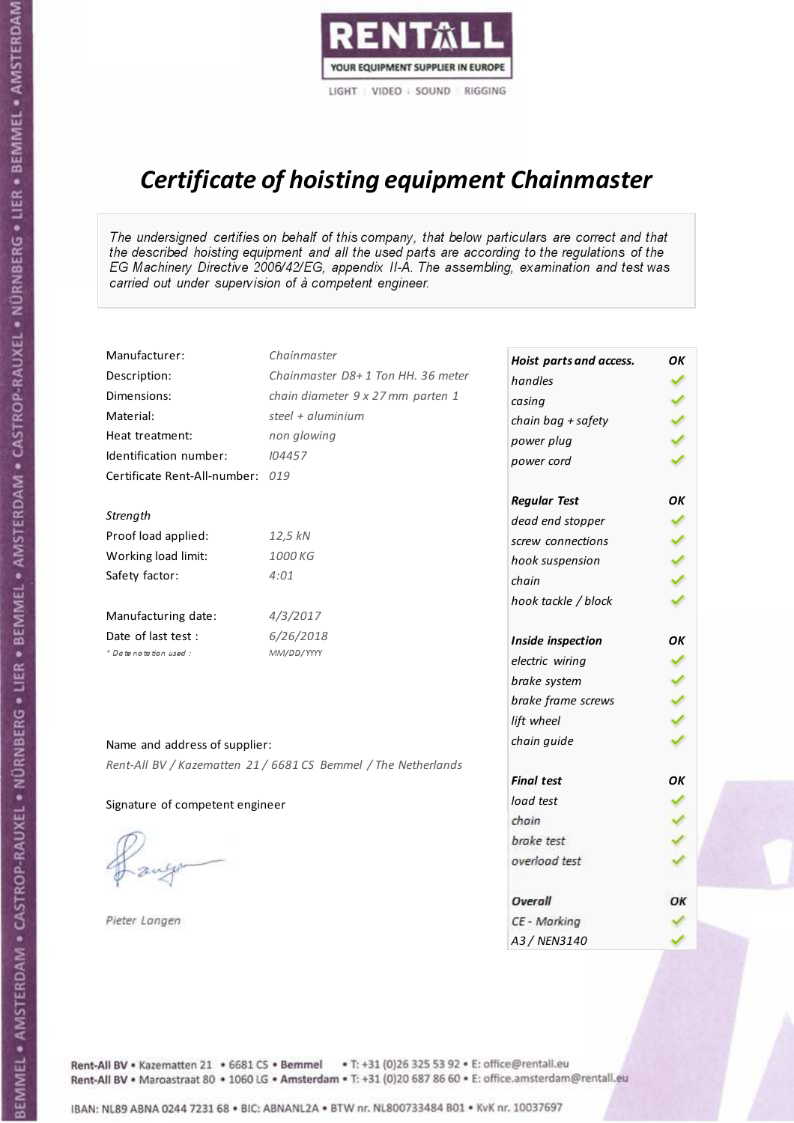

# Certificate of hoisting equipment Chainmaster

The undersigned certifies on behalf of this company, that below particulars are correct and that the described hoisting equipment and all the used parts are according to the regulations of the EG Machinery Directive 2006/42/EG, appendix II-A. The assembling, examination and test was carried out under supervision of à competent engineer.

| Manufacturer:                    | Chainmaster                                                    | Hoist parts and access. | OK  |
|----------------------------------|----------------------------------------------------------------|-------------------------|-----|
| Description:                     | Chainmaster D8+1 Ton HH, 36 meter                              | handles                 |     |
| Dimensions:                      | chain diameter 9 x 27 mm parten 1                              | casing                  |     |
| Material:                        | steel + $aluminim$                                             | chain bag + safety      |     |
| Heat treatment:                  | non glowing                                                    | power plug              |     |
| Identification number:           | 104457                                                         | power cord              |     |
| Certificate Rent-All-number: 019 |                                                                |                         |     |
|                                  |                                                                | <b>Regular Test</b>     | OK  |
| Strength                         |                                                                | dead end stopper        | ✔   |
| Proof load applied:              | 12,5 kN                                                        | screw connections       |     |
| Working load limit:              | 1000 KG                                                        | hook suspension         |     |
| Safety factor:                   | 4:01                                                           | chain                   | くくく |
|                                  |                                                                | hook tackle / block     |     |
| Manufacturing date:              | 4/3/2017                                                       |                         |     |
| Date of last test :              | 6/26/2018                                                      | Inside inspection       | ОΚ  |
| + Date notation used:            | MM/DD/YYYY                                                     | electric wiring         | ✓   |
|                                  |                                                                | brake system            |     |
|                                  |                                                                | brake frame screws      |     |
|                                  |                                                                | lift wheel              | くくく |
| Name and address of supplier:    |                                                                | chain guide             |     |
|                                  | Rent-All BV / Kazematten 21 / 6681 CS Bemmel / The Netherlands |                         |     |
|                                  |                                                                | <b>Final test</b>       | OK  |
| Signature of competent engineer  |                                                                | load test               |     |
|                                  |                                                                | chain                   |     |
|                                  |                                                                | brake test              |     |
|                                  |                                                                | overload test           |     |
|                                  |                                                                | Overall                 | OK  |
| Pieter Langen                    |                                                                | CE - Marking            |     |
|                                  |                                                                | A3 / NEN3140            |     |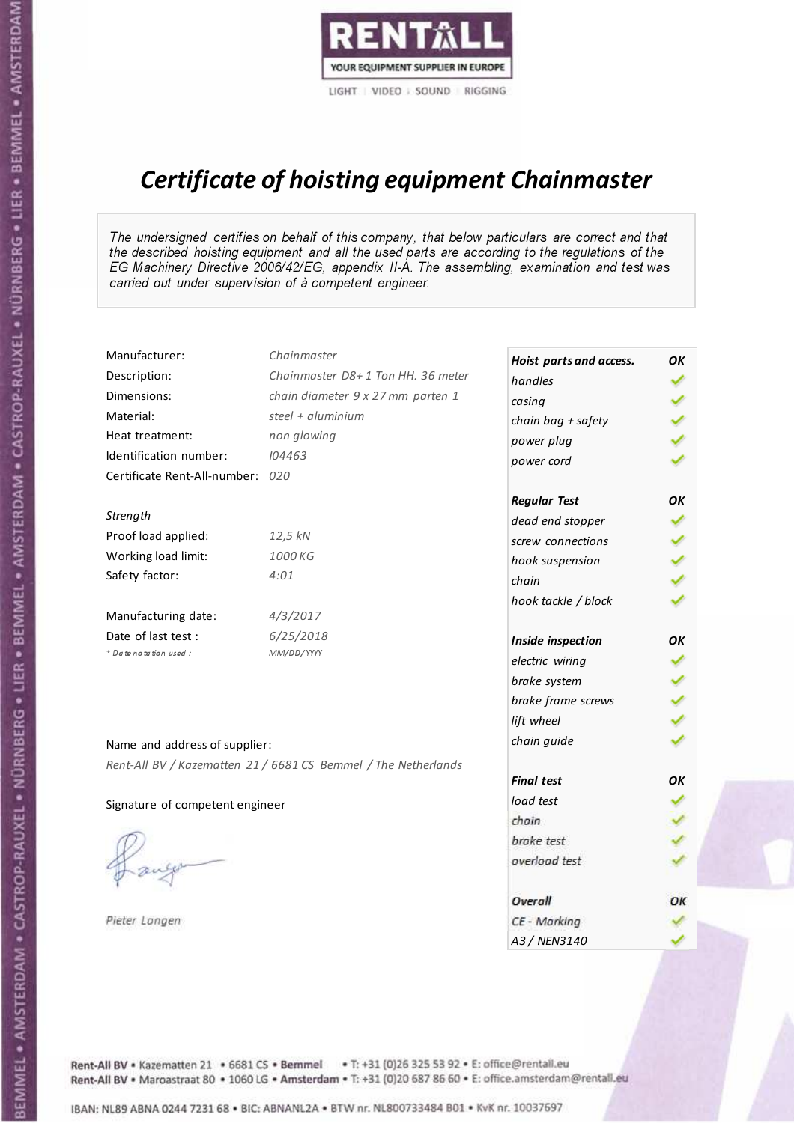

# Certificate of hoisting equipment Chainmaster

The undersigned certifies on behalf of this company, that below particulars are correct and that the described hoisting equipment and all the used parts are according to the regulations of the EG Machinery Directive 2006/42/EG, appendix II-A. The assembling, examination and test was carried out under supervision of à competent engineer.

| Manufacturer:                    | Chainmaster                                                    | Hoist parts and access. | OK  |
|----------------------------------|----------------------------------------------------------------|-------------------------|-----|
| Description:                     | Chainmaster D8+1 Ton HH, 36 meter                              | handles                 |     |
| Dimensions:                      | chain diameter 9 x 27 mm parten 1                              | casing                  |     |
| Material:                        | steel $+$ aluminium                                            | chain bag + safety      |     |
| Heat treatment:                  | non glowing                                                    | power plug              |     |
| Identification number:           | 104463                                                         | power cord              |     |
| Certificate Rent-All-number: 020 |                                                                |                         |     |
|                                  |                                                                | <b>Regular Test</b>     | ΟK  |
| Strength                         |                                                                | dead end stopper        | ✔   |
| Proof load applied:              | 12,5 kN                                                        | screw connections       |     |
| Working load limit:              | 1000 KG                                                        | hook suspension         |     |
| Safety factor:                   | 4:01                                                           | chain                   | くくく |
|                                  |                                                                | hook tackle / block     |     |
| Manufacturing date:              | 4/3/2017                                                       |                         |     |
| Date of last test :              | 6/25/2018                                                      | Inside inspection       | OΚ  |
| * Date notation used :           | MM/DD/YYYY                                                     | electric wiring         | ✔   |
|                                  |                                                                | brake system            |     |
|                                  |                                                                | brake frame screws      |     |
|                                  |                                                                | lift wheel              | くくく |
| Name and address of supplier:    |                                                                | chain guide             |     |
|                                  | Rent-All BV / Kazematten 21 / 6681 CS Bemmel / The Netherlands |                         |     |
|                                  |                                                                | <b>Final test</b>       | OK  |
| Signature of competent engineer  |                                                                | load test               |     |
|                                  |                                                                | chain                   |     |
|                                  |                                                                | brake test              |     |
|                                  |                                                                | overload test           |     |
|                                  |                                                                | Overall                 | ОК  |
| Pieter Langen                    |                                                                | CE - Marking            |     |
|                                  |                                                                | A3 / NEN3140            |     |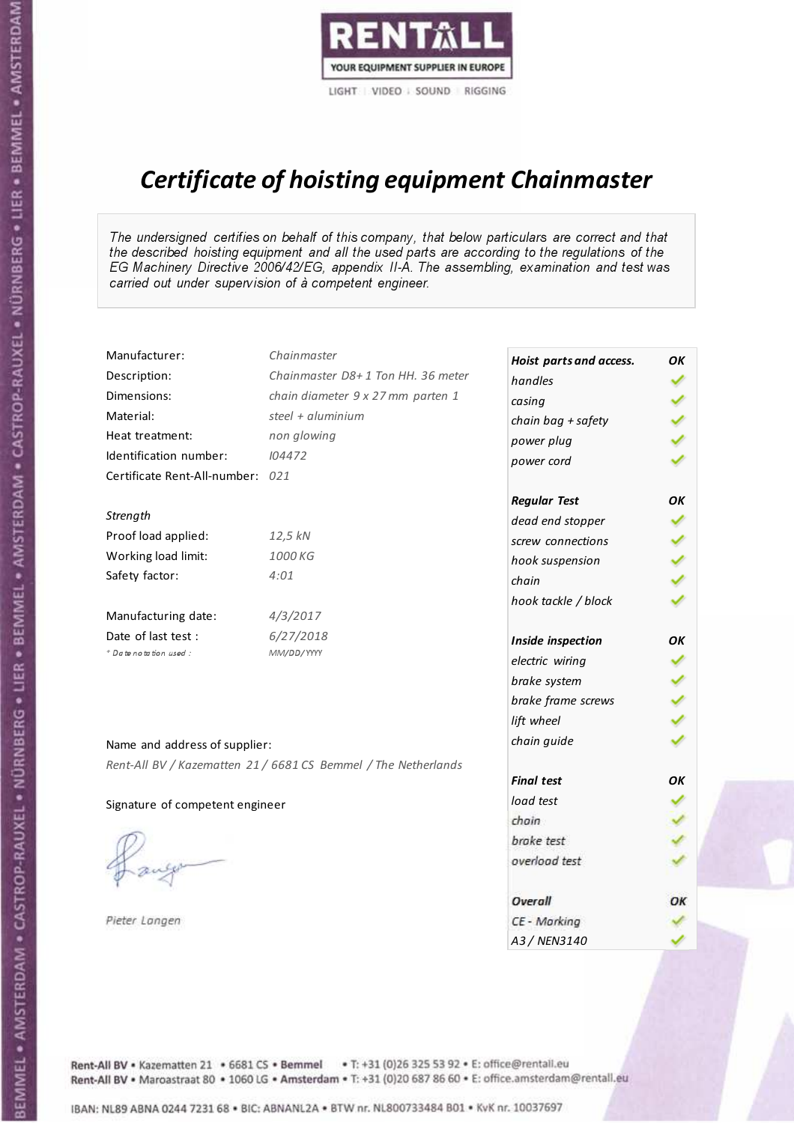

# Certificate of hoisting equipment Chainmaster

The undersigned certifies on behalf of this company, that below particulars are correct and that the described hoisting equipment and all the used parts are according to the regulations of the EG Machinery Directive 2006/42/EG, appendix II-A. The assembling, examination and test was carried out under supervision of à competent engineer.

| Manufacturer:                    | Chainmaster                                                    | Hoist parts and access. | OK  |
|----------------------------------|----------------------------------------------------------------|-------------------------|-----|
| Description:                     | Chainmaster D8+1 Ton HH, 36 meter                              | handles                 |     |
| Dimensions:                      | chain diameter 9 x 27 mm parten 1                              | casing                  |     |
| Material:                        | steel + $aluminim$                                             | chain bag $+$ safety    |     |
| Heat treatment:                  | non glowing                                                    | power plug              |     |
| Identification number:           | 104472                                                         | power cord              |     |
| Certificate Rent-All-number: 021 |                                                                |                         |     |
|                                  |                                                                | <b>Regular Test</b>     | OΚ  |
| Strength                         |                                                                | dead end stopper        |     |
| Proof load applied:              | 12,5 kN                                                        | screw connections       |     |
| Working load limit:              | 1000 KG                                                        | hook suspension         |     |
| Safety factor:                   | 4:01                                                           | chain                   | くくく |
|                                  |                                                                | hook tackle / block     |     |
| Manufacturing date:              | 4/3/2017                                                       |                         |     |
| Date of last test :              | 6/27/2018                                                      | Inside inspection       | ОΚ  |
| * Date notation used :           | MM/DD/YYYY                                                     | electric wiring         | ✔   |
|                                  |                                                                | brake system            |     |
|                                  |                                                                | brake frame screws      |     |
|                                  |                                                                | lift wheel              |     |
| Name and address of supplier:    |                                                                | chain guide             |     |
|                                  | Rent-All BV / Kazematten 21 / 6681 CS Bemmel / The Netherlands |                         |     |
|                                  |                                                                | <b>Final test</b>       | OΚ  |
| Signature of competent engineer  |                                                                | load test               |     |
|                                  |                                                                | chain                   |     |
|                                  |                                                                | brake test              |     |
|                                  |                                                                | overload test           |     |
|                                  |                                                                |                         |     |
|                                  |                                                                | Overall                 | OК  |
| Pieter Langen                    |                                                                | CE - Marking            |     |
|                                  |                                                                | A3 / NEN3140            |     |

Rent-All BV . Kazematten 21 . 6681 CS . Bemmel . T: +31 (0)26 325 53 92 . E: office@rentall.eu Rent-All BV · Maroastraat 80 · 1060 LG · Amsterdam · T: +31 (0)20 687 86 60 · E: office.amsterdam@rentall.eu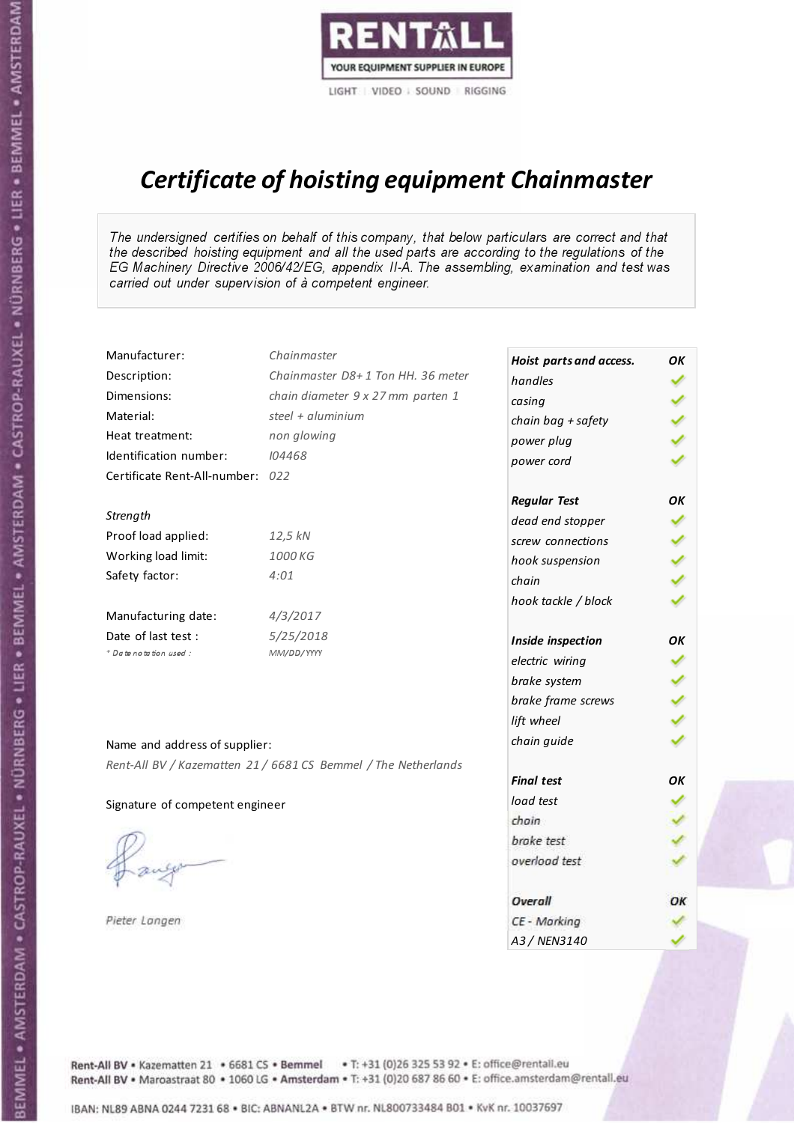

# Certificate of hoisting equipment Chainmaster

The undersigned certifies on behalf of this company, that below particulars are correct and that the described hoisting equipment and all the used parts are according to the regulations of the EG Machinery Directive 2006/42/EG, appendix II-A. The assembling, examination and test was carried out under supervision of à competent engineer.

| Manufacturer:                    | Chainmaster                                                    | Hoist parts and access. | OK  |
|----------------------------------|----------------------------------------------------------------|-------------------------|-----|
| Description:                     | Chainmaster D8+1 Ton HH. 36 meter                              | handles                 |     |
| Dimensions:                      | chain diameter 9 x 27 mm parten 1                              | casing                  |     |
| Material:                        | steel $+$ aluminium                                            | chain bag + safety      |     |
| Heat treatment:                  | non glowing                                                    | power plug              |     |
| Identification number:           | 104468                                                         | power cord              |     |
| Certificate Rent-All-number: 022 |                                                                |                         |     |
|                                  |                                                                | <b>Regular Test</b>     | OK  |
| Strength                         |                                                                | dead end stopper        |     |
| Proof load applied:              | 12,5 kN                                                        | screw connections       |     |
| Working load limit:              | 1000 KG                                                        | hook suspension         |     |
| Safety factor:                   | 4:01                                                           | chain                   | くくく |
|                                  |                                                                | hook tackle / block     |     |
| Manufacturing date:              | 4/3/2017                                                       |                         |     |
| Date of last test :              | 5/25/2018                                                      | Inside inspection       | ОΚ  |
| + Date notation used :           | MM/DD/YYYY                                                     | electric wiring         | ✔   |
|                                  |                                                                | brake system            |     |
|                                  |                                                                | brake frame screws      | くくく |
|                                  |                                                                | lift wheel              |     |
| Name and address of supplier:    |                                                                | chain guide             |     |
|                                  | Rent-All BV / Kazematten 21 / 6681 CS Bemmel / The Netherlands |                         |     |
|                                  |                                                                | <b>Final test</b>       | OK  |
| Signature of competent engineer  |                                                                | load test               |     |
|                                  |                                                                | chain                   |     |
|                                  |                                                                | brake test              |     |
|                                  |                                                                | overload test           |     |
|                                  |                                                                | Overall                 | OK  |
| Pieter Langen                    |                                                                | CE - Marking            |     |
|                                  |                                                                | A3 / NEN3140            |     |

Rent-All BV . Kazematten 21 . 6681 CS . Bemmel . T: +31 (0)26 325 53 92 . E: office@rentall.eu Rent-All BV · Maroastraat 80 · 1060 LG · Amsterdam · T: +31 (0)20 687 86 60 · E: office.amsterdam@rentall.eu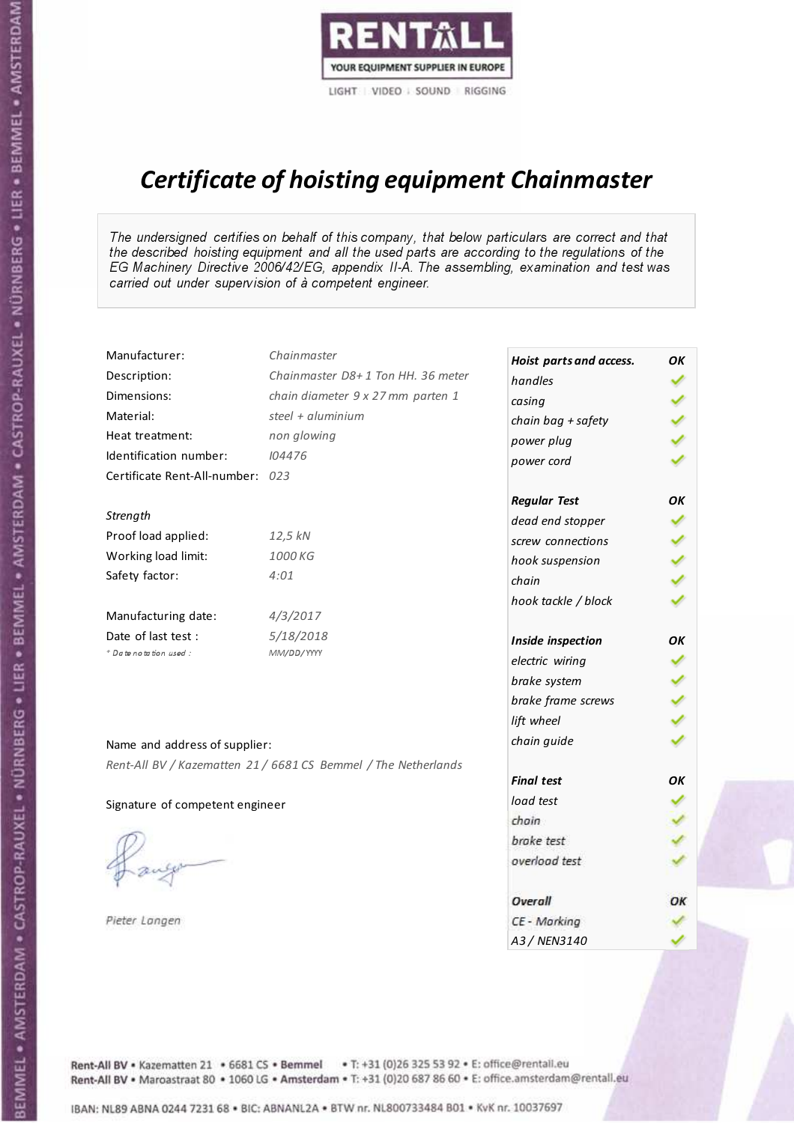

# Certificate of hoisting equipment Chainmaster

The undersigned certifies on behalf of this company, that below particulars are correct and that the described hoisting equipment and all the used parts are according to the regulations of the EG Machinery Directive 2006/42/EG, appendix II-A. The assembling, examination and test was carried out under supervision of à competent engineer.

| Manufacturer:                    | Chainmaster                                                    | Hoist parts and access. | OK  |
|----------------------------------|----------------------------------------------------------------|-------------------------|-----|
| Description:                     | Chainmaster D8+1 Ton HH, 36 meter                              | handles                 |     |
| Dimensions:                      | chain diameter 9 x 27 mm parten 1                              | casing                  |     |
| Material:                        | steel $+$ aluminium                                            | chain bag + safety      |     |
| Heat treatment:                  | non glowing                                                    | power plug              |     |
| Identification number:           | 104476                                                         | power cord              |     |
| Certificate Rent-All-number: 023 |                                                                |                         |     |
|                                  |                                                                | <b>Regular Test</b>     | ΟK  |
| Strength                         |                                                                | dead end stopper        | ✔   |
| Proof load applied:              | 12,5 kN                                                        | screw connections       |     |
| Working load limit:              | 1000 KG                                                        | hook suspension         |     |
| Safety factor:                   | 4:01                                                           | chain                   | くくく |
|                                  |                                                                | hook tackle / block     |     |
| Manufacturing date:              | 4/3/2017                                                       |                         |     |
| Date of last test :              | 5/18/2018                                                      | Inside inspection       | OΚ  |
| + Date notation used :           | MM/DD/YYYY                                                     | electric wiring         | ✔   |
|                                  |                                                                | brake system            |     |
|                                  |                                                                | brake frame screws      |     |
|                                  |                                                                | lift wheel              | くくく |
| Name and address of supplier:    |                                                                | chain guide             |     |
|                                  | Rent-All BV / Kazematten 21 / 6681 CS Bemmel / The Netherlands |                         |     |
|                                  |                                                                | <b>Final test</b>       | OK  |
| Signature of competent engineer  |                                                                | load test               |     |
|                                  |                                                                | chain                   |     |
|                                  |                                                                | brake test              |     |
|                                  |                                                                | overload test           |     |
|                                  |                                                                | Overall                 | ОК  |
| Pieter Langen                    |                                                                | CE - Marking            |     |
|                                  |                                                                | A3 / NEN3140            |     |

Rent-All BV . Kazematten 21 . 6681 CS . Bemmel . T: +31 (0)26 325 53 92 . E: office@rentall.eu Rent-All BV · Maroastraat 80 · 1060 LG · Amsterdam · T: +31 (0)20 687 86 60 · E: office.amsterdam@rentall.eu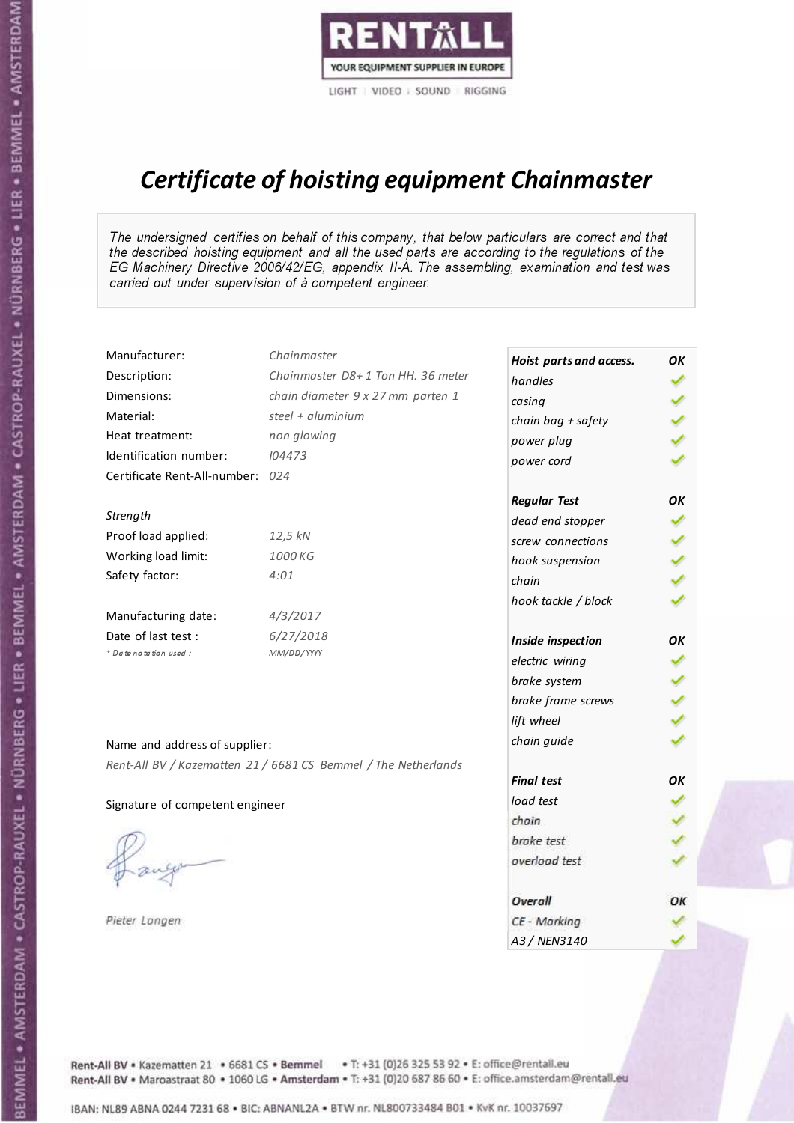

# Certificate of hoisting equipment Chainmaster

The undersigned certifies on behalf of this company, that below particulars are correct and that the described hoisting equipment and all the used parts are according to the regulations of the EG Machinery Directive 2006/42/EG, appendix II-A. The assembling, examination and test was carried out under supervision of à competent engineer.

| Manufacturer:                    | Chainmaster                                                    | Hoist parts and access. | OK  |
|----------------------------------|----------------------------------------------------------------|-------------------------|-----|
| Description:                     | Chainmaster D8+1 Ton HH. 36 meter                              | handles                 |     |
| Dimensions:                      | chain diameter 9 x 27 mm parten 1                              | casing                  |     |
| Material:                        | steel + aluminium                                              | chain bag + safety      |     |
| Heat treatment:                  | non glowing                                                    | power plug              |     |
| Identification number:           | 104473                                                         | power cord              |     |
| Certificate Rent-All-number: 024 |                                                                |                         |     |
|                                  |                                                                | <b>Regular Test</b>     | OK  |
| Strength                         |                                                                | dead end stopper        | ✔   |
| Proof load applied:              | 12,5 kN                                                        | screw connections       |     |
| Working load limit:              | 1000 KG                                                        | hook suspension         |     |
| Safety factor:                   | 4:01                                                           | chain                   | くくく |
|                                  |                                                                | hook tackle / block     |     |
| Manufacturing date:              | 4/3/2017                                                       |                         |     |
| Date of last test :              | 6/27/2018                                                      | Inside inspection       | ОΚ  |
| * Date notation used :           | MM/DD/YYYY                                                     | electric wiring         | ✓   |
|                                  |                                                                | brake system            | ✔   |
|                                  |                                                                | brake frame screws      |     |
|                                  |                                                                | lift wheel              |     |
| Name and address of supplier:    |                                                                | chain guide             |     |
|                                  | Rent-All BV / Kazematten 21 / 6681 CS Bemmel / The Netherlands |                         |     |
|                                  |                                                                | <b>Final test</b>       | OK  |
| Signature of competent engineer  |                                                                | load test               |     |
|                                  |                                                                | chain                   |     |
|                                  |                                                                | brake test              |     |
|                                  |                                                                | overload test           |     |
|                                  |                                                                | Overall                 | ОК  |
| Pieter Langen                    |                                                                | CE - Marking            |     |
|                                  |                                                                | A3 / NEN3140            |     |

Rent-All BV . Kazematten 21 . 6681 CS . Bemmel . T: +31 (0)26 325 53 92 . E: office@rentall.eu Rent-All BV · Maroastraat 80 · 1060 LG · Amsterdam · T: +31 (0)20 687 86 60 · E: office.amsterdam@rentall.eu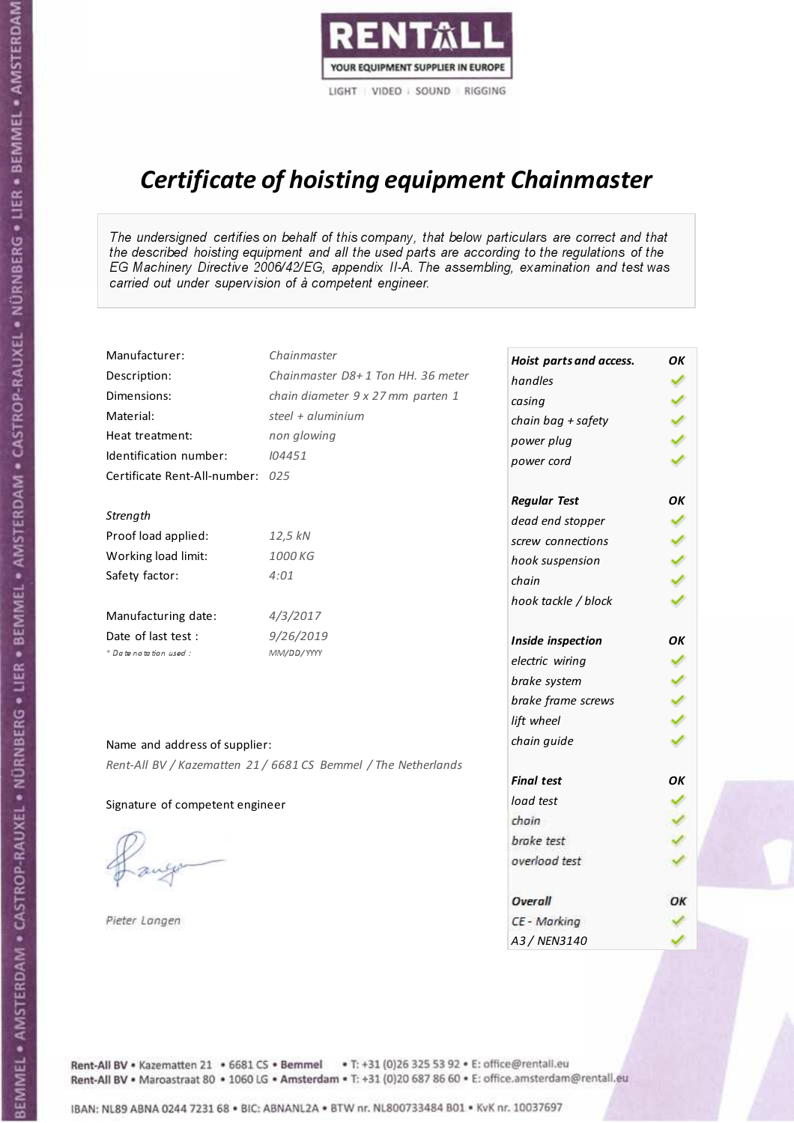

# Certificate of hoisting equipment Chainmaster

The undersigned certifies on behalf of this company, that below particulars are correct and that the described hoisting equipment and all the used parts are according to the regulations of the EG Machinery Directive 2006/42/EG, appendix II-A. The assembling, examination and test was carried out under supervision of à competent engineer.

| Manufacturer:                    | Chainmaster                                                    | Hoist parts and access. | OK  |
|----------------------------------|----------------------------------------------------------------|-------------------------|-----|
| Description:                     | Chainmaster D8+1 Ton HH. 36 meter                              | handles                 |     |
| Dimensions:                      | chain diameter 9 x 27 mm parten 1                              | casing                  |     |
| Material:                        | steel $+$ aluminium                                            | chain bag + safety      |     |
| Heat treatment:                  | non glowing                                                    | power plug              |     |
| Identification number:           | 104451                                                         | power cord              |     |
| Certificate Rent-All-number: 025 |                                                                |                         |     |
|                                  |                                                                | <b>Regular Test</b>     | ОΚ  |
| Strength                         |                                                                | dead end stopper        | ✔   |
| Proof load applied:              | 12,5 kN                                                        | screw connections       |     |
| Working load limit:              | 1000 KG                                                        | hook suspension         |     |
| Safety factor:                   | 4:01                                                           | chain                   | くくく |
|                                  |                                                                | hook tackle / block     |     |
| Manufacturing date:              | 4/3/2017                                                       |                         |     |
| Date of last test :              | 9/26/2019                                                      | Inside inspection       | ОΚ  |
| * Date notation used :           | MM/DD/YYYY                                                     | electric wiring         |     |
|                                  |                                                                | brake system            | ✔   |
|                                  |                                                                | brake frame screws      |     |
|                                  |                                                                | lift wheel              |     |
| Name and address of supplier:    |                                                                | chain guide             |     |
|                                  | Rent-All BV / Kazematten 21 / 6681 CS Bemmel / The Netherlands |                         |     |
|                                  |                                                                | <b>Final test</b>       | OK  |
| Signature of competent engineer  |                                                                | load test               |     |
|                                  |                                                                | chain                   |     |
|                                  |                                                                | brake test              |     |
|                                  |                                                                | overload test           |     |
|                                  |                                                                | Overall                 | OК  |
| Pieter Langen                    |                                                                | CE - Marking            |     |
|                                  |                                                                | A3 / NEN3140            |     |

Rent-All BV . Kazematten 21 . 6681 CS . Bemmel . T: +31 (0)26 325 53 92 . E: office@rentall.eu Rent-All BV · Maroastraat 80 · 1060 LG · Amsterdam · T: +31 (0)20 687 86 60 · E: office.amsterdam@rentall.eu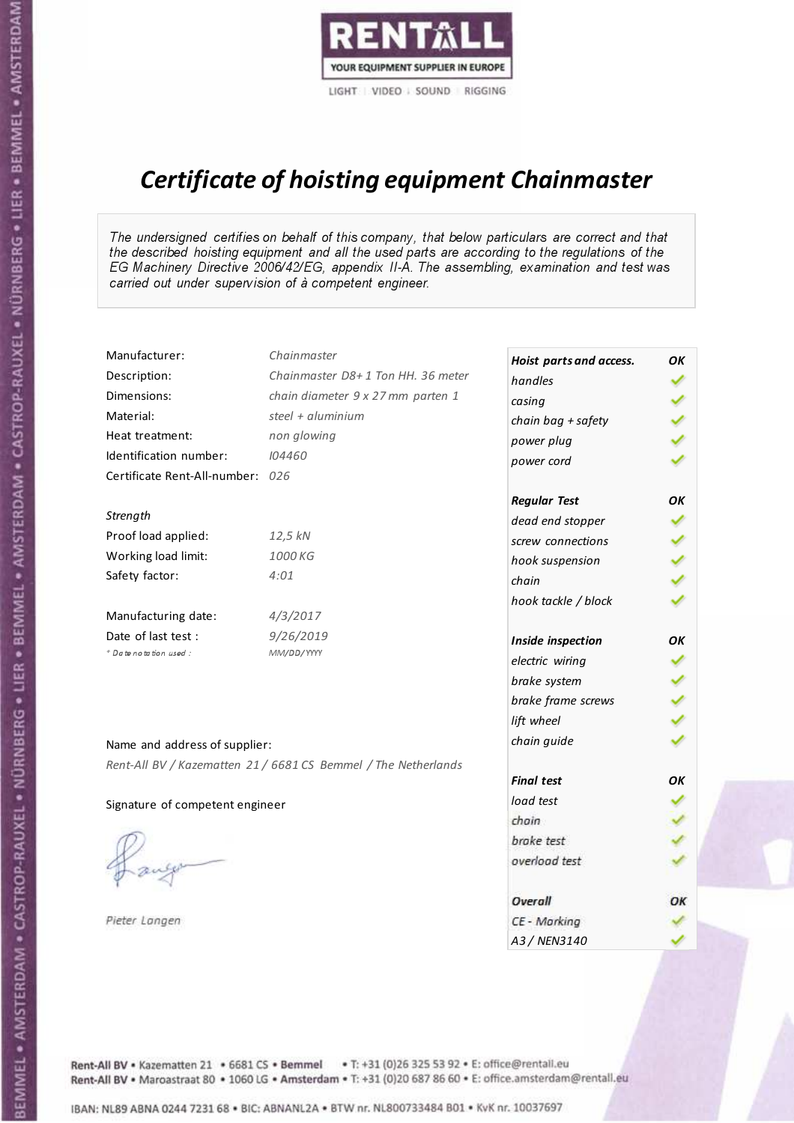

# Certificate of hoisting equipment Chainmaster

The undersigned certifies on behalf of this company, that below particulars are correct and that the described hoisting equipment and all the used parts are according to the regulations of the EG Machinery Directive 2006/42/EG, appendix II-A. The assembling, examination and test was carried out under supervision of à competent engineer.

| Manufacturer:                    | Chainmaster                                                    | Hoist parts and access. | OK  |
|----------------------------------|----------------------------------------------------------------|-------------------------|-----|
| Description:                     | Chainmaster D8+1 Ton HH. 36 meter                              | handles                 |     |
| Dimensions:                      | chain diameter 9 x 27 mm parten 1                              | casing                  |     |
| Material:                        | steel $+$ aluminium                                            | chain bag + safety      |     |
| Heat treatment:                  | non glowing                                                    | power plug              |     |
| Identification number:           | 104460                                                         | power cord              |     |
| Certificate Rent-All-number: 026 |                                                                |                         |     |
|                                  |                                                                | <b>Regular Test</b>     | ОΚ  |
| Strength                         |                                                                | dead end stopper        | ✔   |
| Proof load applied:              | 12,5 kN                                                        | screw connections       |     |
| Working load limit:              | 1000 KG                                                        | hook suspension         |     |
| Safety factor:                   | 4:01                                                           | chain                   | くくく |
|                                  |                                                                | hook tackle / block     |     |
| Manufacturing date:              | 4/3/2017                                                       |                         |     |
| Date of last test :              | 9/26/2019                                                      | Inside inspection       | ОΚ  |
| * Date notation used :           | MM/DD/YYYY                                                     | electric wiring         |     |
|                                  |                                                                | brake system            | ✔   |
|                                  |                                                                | brake frame screws      |     |
|                                  |                                                                | lift wheel              |     |
| Name and address of supplier:    |                                                                | chain guide             |     |
|                                  | Rent-All BV / Kazematten 21 / 6681 CS Bemmel / The Netherlands |                         |     |
|                                  |                                                                | <b>Final test</b>       | OK  |
| Signature of competent engineer  |                                                                | load test               |     |
|                                  |                                                                | chain                   |     |
|                                  |                                                                | brake test              |     |
|                                  |                                                                | overload test           |     |
|                                  |                                                                | Overall                 | OК  |
| Pieter Langen                    |                                                                | CE - Marking            |     |
|                                  |                                                                | A3 / NEN3140            |     |

Rent-All BV . Kazematten 21 . 6681 CS . Bemmel . T: +31 (0)26 325 53 92 . E: office@rentall.eu Rent-All BV · Maroastraat 80 · 1060 LG · Amsterdam · T: +31 (0)20 687 86 60 · E: office.amsterdam@rentall.eu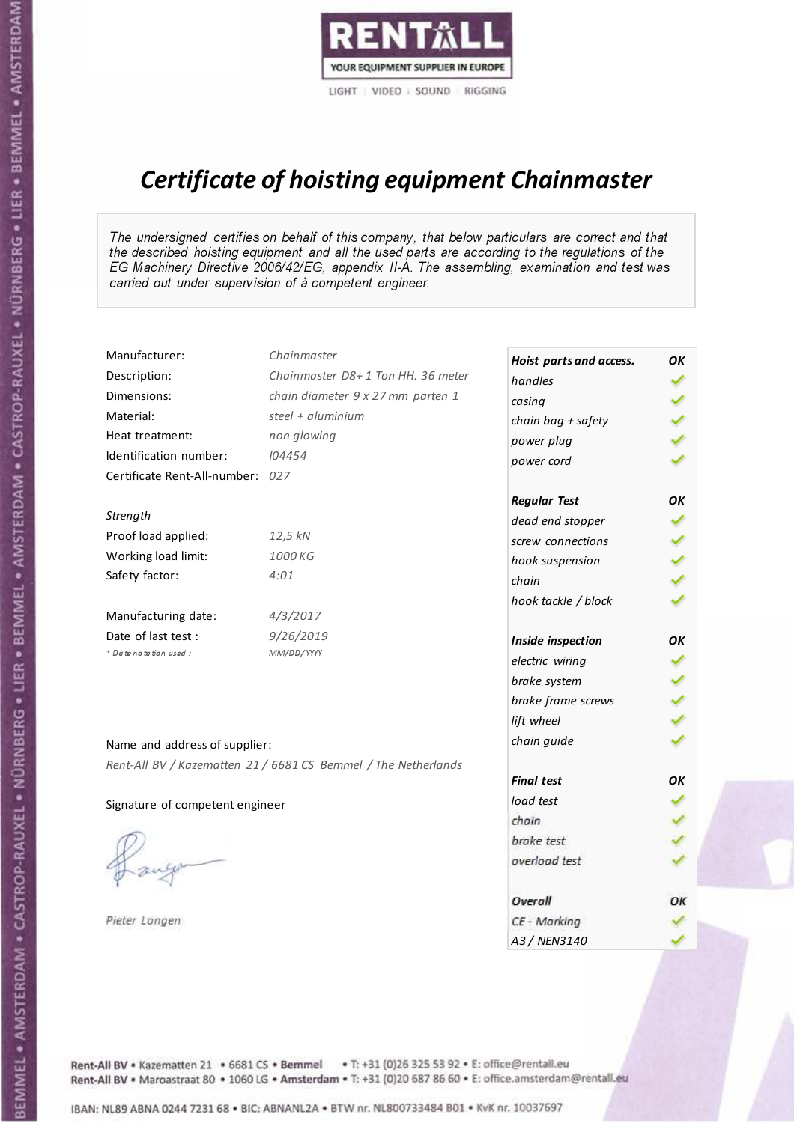

# Certificate of hoisting equipment Chainmaster

The undersigned certifies on behalf of this company, that below particulars are correct and that the described hoisting equipment and all the used parts are according to the regulations of the EG Machinery Directive 2006/42/EG, appendix II-A. The assembling, examination and test was carried out under supervision of à competent engineer.

| Manufacturer:                    | Chainmaster                                                    | Hoist parts and access. | OK  |
|----------------------------------|----------------------------------------------------------------|-------------------------|-----|
| Description:                     | Chainmaster D8+1 Ton HH, 36 meter                              | handles                 |     |
| Dimensions:                      | chain diameter 9 x 27 mm parten 1                              | casing                  |     |
| Material:                        | steel + $aluminim$                                             | chain bag + safety      |     |
| Heat treatment:                  | non glowing                                                    | power plug              |     |
| Identification number:           | 104454                                                         | power cord              |     |
| Certificate Rent-All-number: 027 |                                                                |                         |     |
|                                  |                                                                | <b>Regular Test</b>     | OK  |
| Strength                         |                                                                | dead end stopper        | ✔   |
| Proof load applied:              | 12,5 kN                                                        | screw connections       |     |
| Working load limit:              | 1000 KG                                                        | hook suspension         |     |
| Safety factor:                   | 4:01                                                           | chain                   | くくく |
|                                  |                                                                | hook tackle / block     |     |
| Manufacturing date:              | 4/3/2017                                                       |                         |     |
| Date of last test :              | 9/26/2019                                                      | Inside inspection       | ОΚ  |
| + Date notation used:            | MM/DD/YYYY                                                     | electric wiring         | ✓   |
|                                  |                                                                | brake system            | ✔   |
|                                  |                                                                | brake frame screws      |     |
|                                  |                                                                | lift wheel              |     |
| Name and address of supplier:    |                                                                | chain guide             |     |
|                                  | Rent-All BV / Kazematten 21 / 6681 CS Bemmel / The Netherlands |                         |     |
|                                  |                                                                | <b>Final test</b>       | OK  |
| Signature of competent engineer  |                                                                | load test               |     |
|                                  |                                                                | chain                   |     |
|                                  |                                                                | brake test              |     |
|                                  |                                                                | overload test           |     |
|                                  |                                                                | Overall                 | ОК  |
| Pieter Langen                    |                                                                | CE - Marking            |     |
|                                  |                                                                | A3 / NEN3140            |     |

Rent-All BV . Kazematten 21 . 6681 CS . Bemmel . T: +31 (0)26 325 53 92 . E: office@rentall.eu Rent-All BV · Maroastraat 80 · 1060 LG · Amsterdam · T: +31 (0)20 687 86 60 · E: office.amsterdam@rentall.eu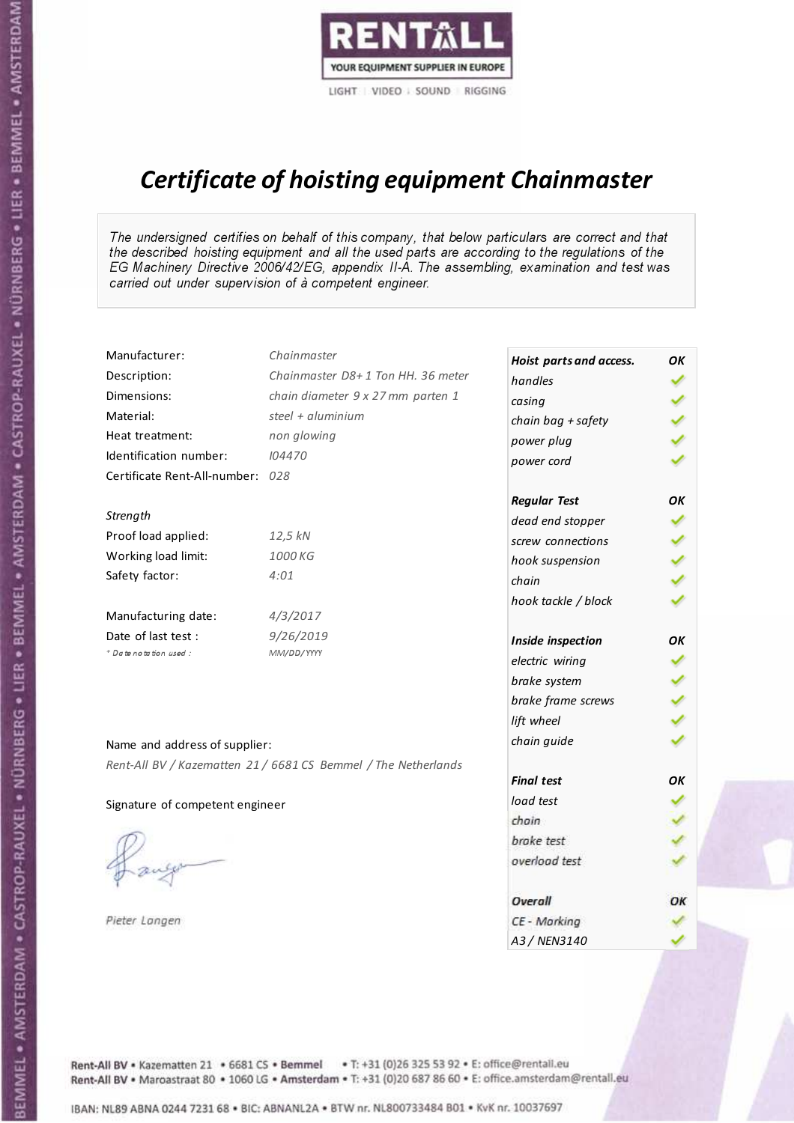

# Certificate of hoisting equipment Chainmaster

The undersigned certifies on behalf of this company, that below particulars are correct and that the described hoisting equipment and all the used parts are according to the regulations of the EG Machinery Directive 2006/42/EG, appendix II-A. The assembling, examination and test was carried out under supervision of à competent engineer.

| Manufacturer:                    | Chainmaster                                                    | Hoist parts and access. | OK  |
|----------------------------------|----------------------------------------------------------------|-------------------------|-----|
| Description:                     | Chainmaster D8+1 Ton HH. 36 meter                              | handles                 |     |
| Dimensions:                      | chain diameter 9 x 27 mm parten 1                              | casing                  |     |
| Material:                        | steel $+$ aluminium                                            | chain bag + safety      |     |
| Heat treatment:                  | non glowing                                                    | power plug              |     |
| Identification number:           | 104470                                                         | power cord              |     |
| Certificate Rent-All-number: 028 |                                                                |                         |     |
|                                  |                                                                | <b>Regular Test</b>     | OK  |
| Strength                         |                                                                | dead end stopper        | ✔   |
| Proof load applied:              | 12,5 kN                                                        | screw connections       |     |
| Working load limit:              | 1000 KG                                                        | hook suspension         |     |
| Safety factor:                   | 4:01                                                           | chain                   | くくく |
|                                  |                                                                | hook tackle / block     |     |
| Manufacturing date:              | 4/3/2017                                                       |                         |     |
| Date of last test :              | 9/26/2019                                                      | Inside inspection       | OK  |
| * Date notation used :           | MM/DD/YYYY                                                     | electric wiring         |     |
|                                  |                                                                | brake system            | ✔   |
|                                  |                                                                | brake frame screws      |     |
|                                  |                                                                | lift wheel              |     |
| Name and address of supplier:    |                                                                | chain guide             |     |
|                                  | Rent-All BV / Kazematten 21 / 6681 CS Bemmel / The Netherlands |                         |     |
|                                  |                                                                | <b>Final test</b>       | OK  |
| Signature of competent engineer  |                                                                | load test               |     |
|                                  |                                                                | chain                   |     |
|                                  |                                                                | brake test              |     |
|                                  |                                                                | overload test           |     |
|                                  |                                                                | Overall                 | OK  |
| Pieter Langen                    |                                                                | CE - Marking            |     |
|                                  |                                                                | A3 / NEN3140            |     |

Rent-All BV . Kazematten 21 . 6681 CS . Bemmel . T: +31 (0)26 325 53 92 . E: office@rentall.eu Rent-All BV · Maroastraat 80 · 1060 LG · Amsterdam · T: +31 (0)20 687 86 60 · E: office.amsterdam@rentall.eu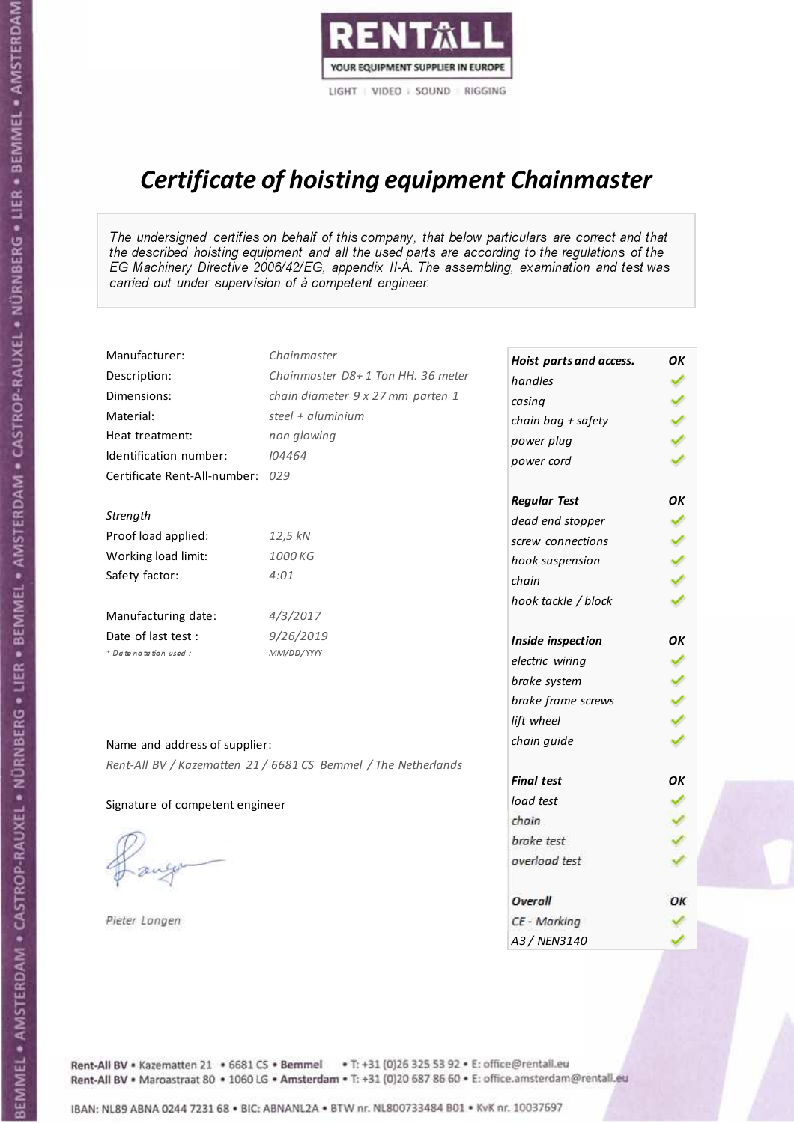

# Certificate of hoisting equipment Chainmaster

The undersigned certifies on behalf of this company, that below particulars are correct and that the described hoisting equipment and all the used parts are according to the regulations of the EG Machinery Directive 2006/42/EG, appendix II-A. The assembling, examination and test was carried out under supervision of à competent engineer.

| Manufacturer:                    | Chainmaster                                                    | Hoist parts and access. | OK  |
|----------------------------------|----------------------------------------------------------------|-------------------------|-----|
| Description:                     | Chainmaster D8+1 Ton HH. 36 meter                              | handles                 |     |
| Dimensions:                      | chain diameter 9 x 27 mm parten 1                              | casing                  |     |
| Material:                        | steel $+$ aluminium                                            | chain bag + safety      |     |
| Heat treatment:                  | non glowing                                                    | power plug              |     |
| Identification number:           | 104464                                                         | power cord              |     |
| Certificate Rent-All-number: 029 |                                                                |                         |     |
|                                  |                                                                | <b>Regular Test</b>     | OK  |
| Strength                         |                                                                | dead end stopper        | ✔   |
| Proof load applied:              | 12,5 kN                                                        | screw connections       |     |
| Working load limit:              | 1000 KG                                                        | hook suspension         |     |
| Safety factor:                   | 4:01                                                           | chain                   | くくく |
|                                  |                                                                | hook tackle / block     |     |
| Manufacturing date:              | 4/3/2017                                                       |                         |     |
| Date of last test :              | 9/26/2019                                                      | Inside inspection       | OK  |
| * Date notation used :           | MM/DD/YYYY                                                     | electric wiring         |     |
|                                  |                                                                | brake system            | ✔   |
|                                  |                                                                | brake frame screws      |     |
|                                  |                                                                | lift wheel              |     |
| Name and address of supplier:    |                                                                | chain guide             |     |
|                                  | Rent-All BV / Kazematten 21 / 6681 CS Bemmel / The Netherlands |                         |     |
|                                  |                                                                | <b>Final test</b>       | OK  |
| Signature of competent engineer  |                                                                | load test               |     |
|                                  |                                                                | chain                   |     |
|                                  |                                                                | brake test              |     |
|                                  |                                                                | overload test           |     |
|                                  |                                                                | Overall                 | OK  |
| Pieter Langen                    |                                                                | CE - Marking            |     |
|                                  |                                                                | A3 / NEN3140            |     |

Rent-All BV . Kazematten 21 . 6681 CS . Bemmel . T: +31 (0)26 325 53 92 . E: office@rentall.eu Rent-All BV · Maroastraat 80 · 1060 LG · Amsterdam · T: +31 (0)20 687 86 60 · E: office.amsterdam@rentall.eu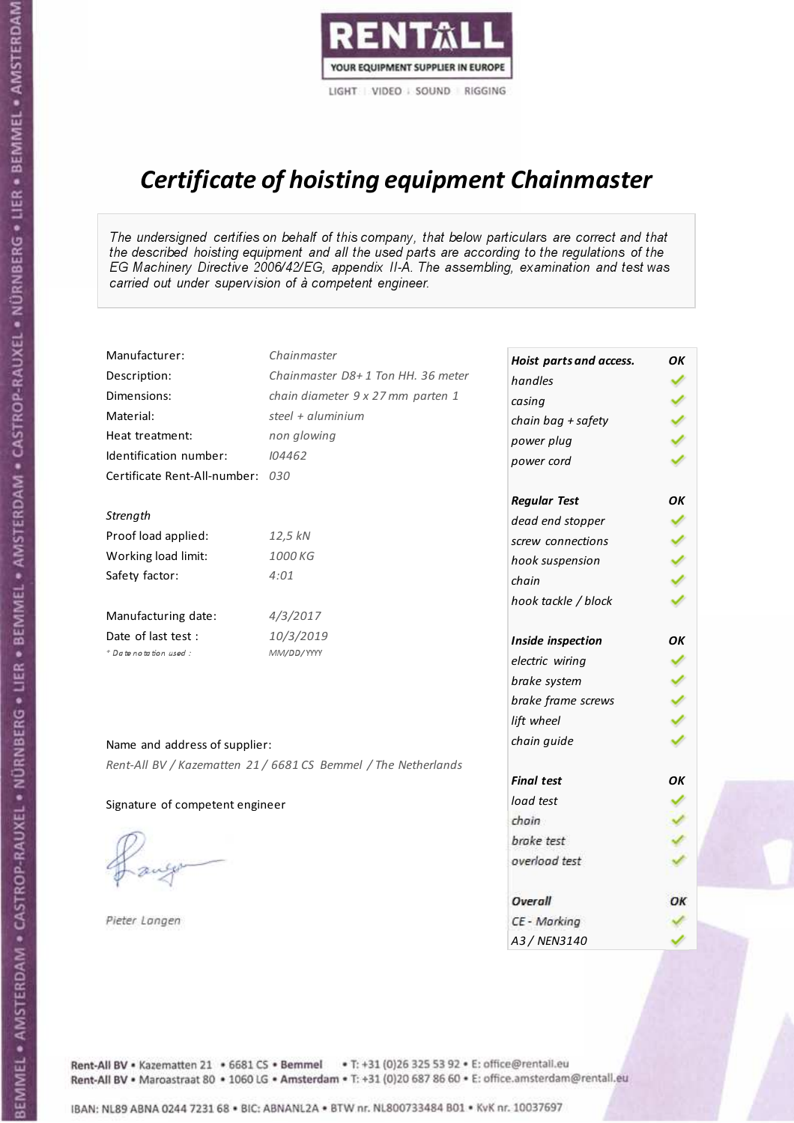

# Certificate of hoisting equipment Chainmaster

The undersigned certifies on behalf of this company, that below particulars are correct and that the described hoisting equipment and all the used parts are according to the regulations of the EG Machinery Directive 2006/42/EG, appendix II-A. The assembling, examination and test was carried out under supervision of à competent engineer.

| Manufacturer:                    | Chainmaster                                                    | Hoist parts and access. | OK  |
|----------------------------------|----------------------------------------------------------------|-------------------------|-----|
| Description:                     | Chainmaster D8+1 Ton HH. 36 meter                              | handles                 |     |
| Dimensions:                      | chain diameter 9 x 27 mm parten 1                              | casing                  |     |
| Material:                        | steel + aluminium                                              | chain bag + safety      |     |
| Heat treatment:                  | non glowing                                                    | power plug              |     |
| Identification number:           | 104462                                                         | power cord              |     |
| Certificate Rent-All-number: 030 |                                                                |                         |     |
|                                  |                                                                | <b>Regular Test</b>     | OK  |
| Strength                         |                                                                | dead end stopper        | ✔   |
| Proof load applied:              | 12,5 kN                                                        | screw connections       |     |
| Working load limit:              | 1000 KG                                                        | hook suspension         |     |
| Safety factor:                   | 4:01                                                           | chain                   | くくく |
|                                  |                                                                | hook tackle / block     |     |
| Manufacturing date:              | 4/3/2017                                                       |                         |     |
| Date of last test :              | 10/3/2019                                                      | Inside inspection       | ОΚ  |
| * Date notation used :           | MM/DD/YYYY                                                     | electric wiring         | ✓   |
|                                  |                                                                | brake system            | ✔   |
|                                  |                                                                | brake frame screws      |     |
|                                  |                                                                | lift wheel              |     |
| Name and address of supplier:    |                                                                | chain guide             |     |
|                                  | Rent-All BV / Kazematten 21 / 6681 CS Bemmel / The Netherlands |                         |     |
|                                  |                                                                | <b>Final test</b>       | OK  |
| Signature of competent engineer  |                                                                | load test               |     |
|                                  |                                                                | chain                   |     |
|                                  |                                                                | brake test              |     |
|                                  |                                                                | overload test           |     |
|                                  |                                                                | Overall                 | ОК  |
| Pieter Langen                    |                                                                | CE - Marking            |     |
|                                  |                                                                | A3 / NEN3140            |     |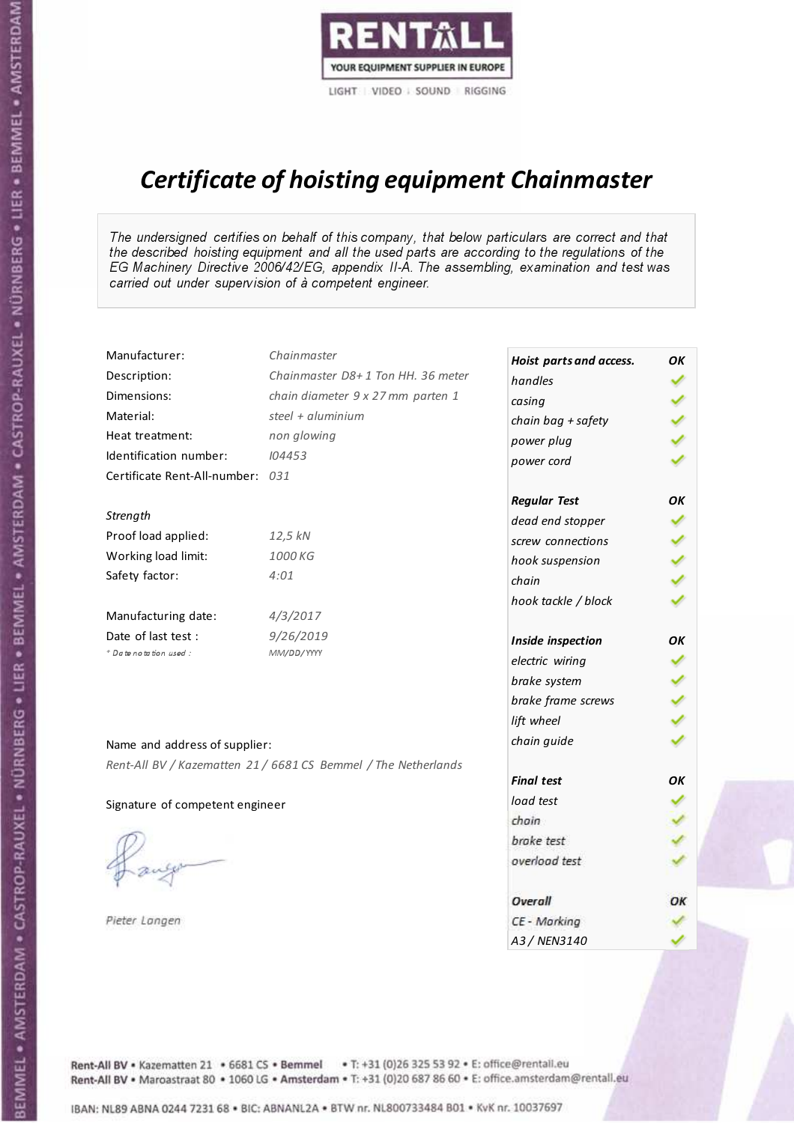

# Certificate of hoisting equipment Chainmaster

The undersigned certifies on behalf of this company, that below particulars are correct and that the described hoisting equipment and all the used parts are according to the regulations of the EG Machinery Directive 2006/42/EG, appendix II-A. The assembling, examination and test was carried out under supervision of à competent engineer.

| Manufacturer:                    | Chainmaster                                                    | Hoist parts and access. | OK  |
|----------------------------------|----------------------------------------------------------------|-------------------------|-----|
| Description:                     | Chainmaster D8+1 Ton HH. 36 meter                              | handles                 |     |
| Dimensions:                      | chain diameter 9 x 27 mm parten 1                              | casing                  |     |
| Material:                        | steel + aluminium                                              | chain bag + safety      |     |
| Heat treatment:                  | non glowing                                                    | power plug              |     |
| Identification number:           | 104453                                                         | power cord              |     |
| Certificate Rent-All-number: 031 |                                                                |                         |     |
|                                  |                                                                | <b>Regular Test</b>     | OK  |
| Strength                         |                                                                | dead end stopper        | ✔   |
| Proof load applied:              | 12,5 kN                                                        | screw connections       |     |
| Working load limit:              | 1000 KG                                                        | hook suspension         |     |
| Safety factor:                   | 4:01                                                           | chain                   | くくく |
|                                  |                                                                | hook tackle / block     |     |
| Manufacturing date:              | 4/3/2017                                                       |                         |     |
| Date of last test :              | 9/26/2019                                                      | Inside inspection       | ОΚ  |
| * Date notation used :           | MM/DD/YYYY                                                     | electric wiring         | ✓   |
|                                  |                                                                | brake system            | ✔   |
|                                  |                                                                | brake frame screws      |     |
|                                  |                                                                | lift wheel              |     |
|                                  |                                                                | chain guide             |     |
| Name and address of supplier:    |                                                                |                         |     |
|                                  | Rent-All BV / Kazematten 21 / 6681 CS Bemmel / The Netherlands | <b>Final test</b>       | OK  |
| Signature of competent engineer  |                                                                | load test               |     |
|                                  |                                                                | chain                   |     |
|                                  |                                                                | brake test              |     |
|                                  |                                                                | overload test           |     |
|                                  |                                                                |                         |     |
|                                  |                                                                | Overall                 | ОК  |
| Pieter Langen                    |                                                                | CE - Marking            |     |
|                                  |                                                                | A3 / NEN3140            |     |